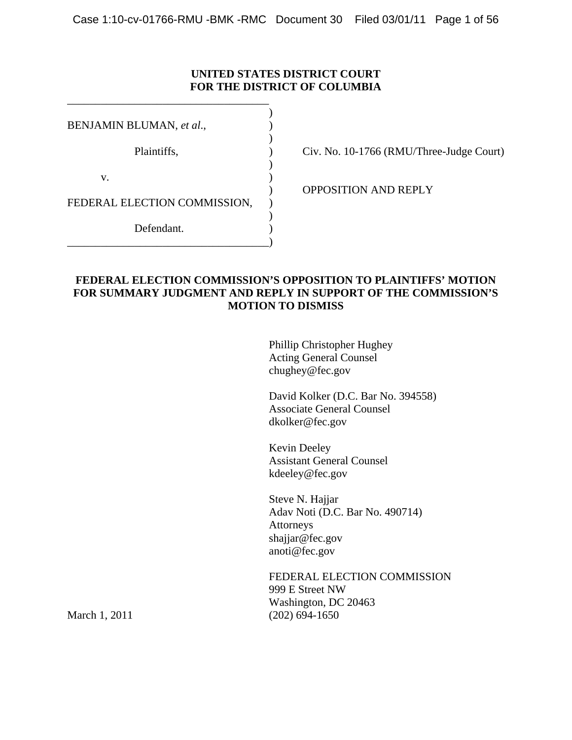# **UNITED STATES DISTRICT COURT FOR THE DISTRICT OF COLUMBIA**

| BENJAMIN BLUMAN, et al.,     |  |
|------------------------------|--|
|                              |  |
| Plaintiffs,                  |  |
|                              |  |
| v.                           |  |
|                              |  |
| FEDERAL ELECTION COMMISSION, |  |
|                              |  |
| Defendant.                   |  |
|                              |  |

\_\_\_\_\_\_\_\_\_\_\_\_\_\_\_\_\_\_\_\_\_\_\_\_\_\_\_\_\_\_\_\_\_\_\_\_

Civ. No. 10-1766 (RMU/Three-Judge Court)

) OPPOSITION AND REPLY

# **FEDERAL ELECTION COMMISSION'S OPPOSITION TO PLAINTIFFS' MOTION FOR SUMMARY JUDGMENT AND REPLY IN SUPPORT OF THE COMMISSION'S MOTION TO DISMISS**

Phillip Christopher Hughey Acting General Counsel chughey@fec.gov

David Kolker (D.C. Bar No. 394558) Associate General Counsel dkolker@fec.gov

Kevin Deeley Assistant General Counsel kdeeley@fec.gov

Steve N. Hajjar Adav Noti (D.C. Bar No. 490714) Attorneys shajjar@fec.gov anoti@fec.gov

FEDERAL ELECTION COMMISSION 999 E Street NW Washington, DC 20463 March 1, 2011 (202) 694-1650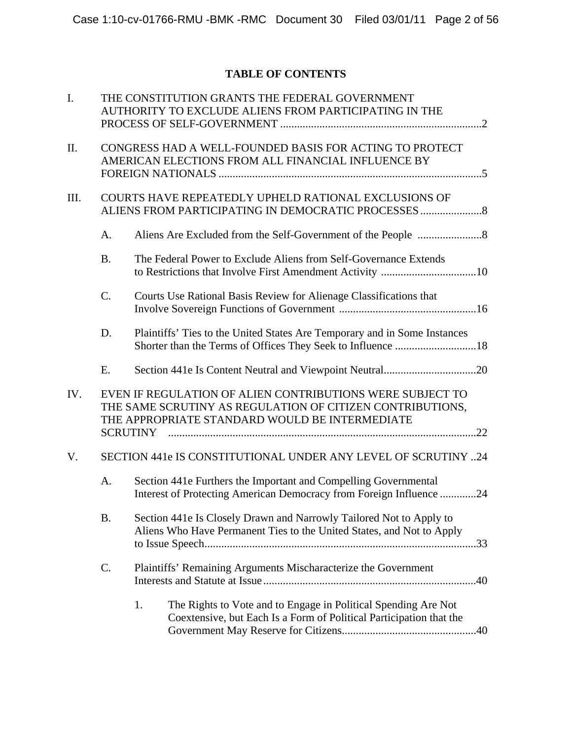# **TABLE OF CONTENTS**

| I.   |                 | THE CONSTITUTION GRANTS THE FEDERAL GOVERNMENT<br>AUTHORITY TO EXCLUDE ALIENS FROM PARTICIPATING IN THE                                                                  |
|------|-----------------|--------------------------------------------------------------------------------------------------------------------------------------------------------------------------|
| II.  |                 | CONGRESS HAD A WELL-FOUNDED BASIS FOR ACTING TO PROTECT<br>AMERICAN ELECTIONS FROM ALL FINANCIAL INFLUENCE BY                                                            |
| III. |                 | COURTS HAVE REPEATEDLY UPHELD RATIONAL EXCLUSIONS OF<br>ALIENS FROM PARTICIPATING IN DEMOCRATIC PROCESSES                                                                |
|      | A.              |                                                                                                                                                                          |
|      | <b>B.</b>       | The Federal Power to Exclude Aliens from Self-Governance Extends                                                                                                         |
|      | $\mathcal{C}$ . | Courts Use Rational Basis Review for Alienage Classifications that                                                                                                       |
|      | D.              | Plaintiffs' Ties to the United States Are Temporary and in Some Instances                                                                                                |
|      | Ε.              |                                                                                                                                                                          |
| IV.  | <b>SCRUTINY</b> | EVEN IF REGULATION OF ALIEN CONTRIBUTIONS WERE SUBJECT TO<br>THE SAME SCRUTINY AS REGULATION OF CITIZEN CONTRIBUTIONS,<br>THE APPROPRIATE STANDARD WOULD BE INTERMEDIATE |
| V.   |                 | SECTION 441e IS CONSTITUTIONAL UNDER ANY LEVEL OF SCRUTINY 24                                                                                                            |
|      | A.              | Section 441e Furthers the Important and Compelling Governmental<br>Interest of Protecting American Democracy from Foreign Influence 24                                   |
|      | <b>B.</b>       | Section 441e Is Closely Drawn and Narrowly Tailored Not to Apply to<br>Aliens Who Have Permanent Ties to the United States, and Not to Apply                             |
|      | C.              | Plaintiffs' Remaining Arguments Mischaracterize the Government                                                                                                           |
|      |                 | 1.<br>The Rights to Vote and to Engage in Political Spending Are Not<br>Coextensive, but Each Is a Form of Political Participation that the                              |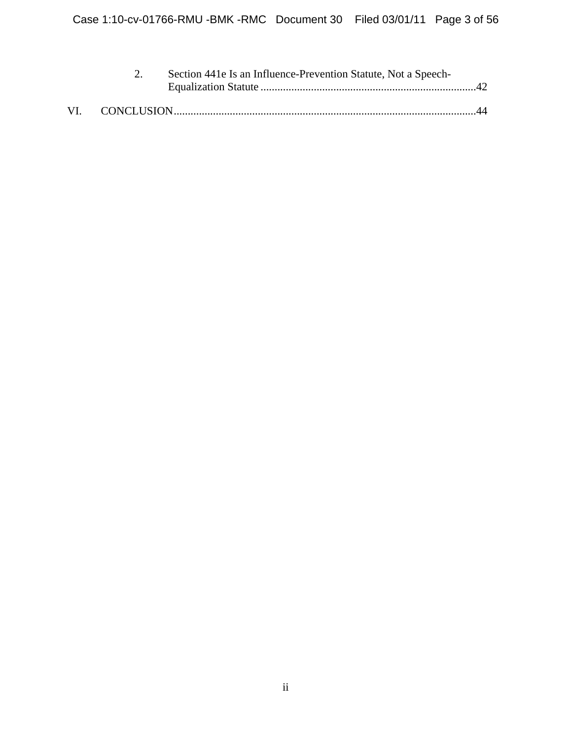|  | Section 441e Is an Influence-Prevention Statute, Not a Speech- |                  |
|--|----------------------------------------------------------------|------------------|
|  |                                                                |                  |
|  |                                                                | $\Lambda\Lambda$ |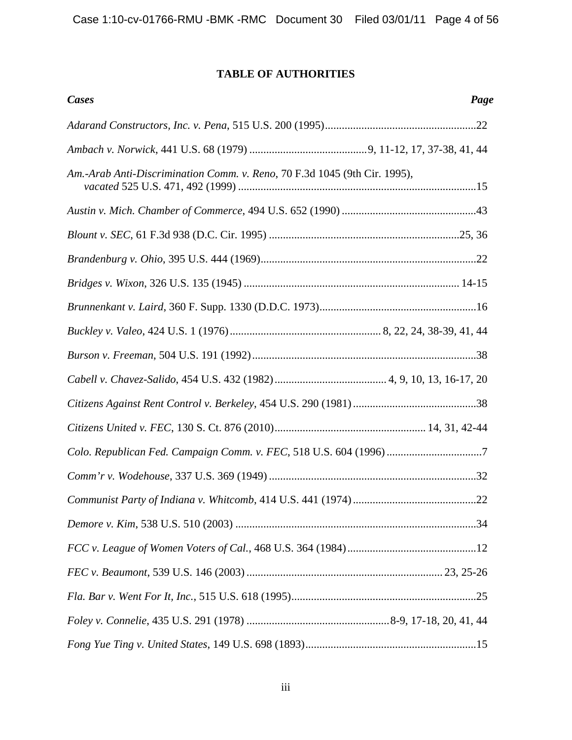# **TABLE OF AUTHORITIES**

| <b>Cases</b>                                                              | Page |
|---------------------------------------------------------------------------|------|
|                                                                           |      |
|                                                                           |      |
| Am.-Arab Anti-Discrimination Comm. v. Reno, 70 F.3d 1045 (9th Cir. 1995), |      |
|                                                                           |      |
|                                                                           |      |
|                                                                           |      |
|                                                                           |      |
|                                                                           |      |
|                                                                           |      |
|                                                                           |      |
|                                                                           |      |
|                                                                           |      |
|                                                                           |      |
|                                                                           |      |
|                                                                           |      |
|                                                                           |      |
|                                                                           |      |
|                                                                           |      |
|                                                                           |      |
|                                                                           |      |
|                                                                           |      |
|                                                                           |      |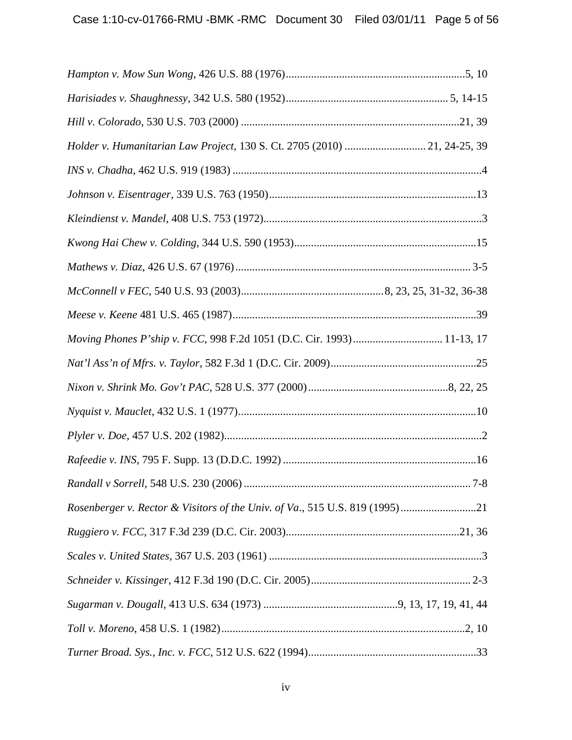| Holder v. Humanitarian Law Project, 130 S. Ct. 2705 (2010)  21, 24-25, 39   |  |
|-----------------------------------------------------------------------------|--|
|                                                                             |  |
|                                                                             |  |
|                                                                             |  |
|                                                                             |  |
|                                                                             |  |
|                                                                             |  |
|                                                                             |  |
| Moving Phones P'ship v. FCC, 998 F.2d 1051 (D.C. Cir. 1993) 11-13, 17       |  |
|                                                                             |  |
|                                                                             |  |
|                                                                             |  |
|                                                                             |  |
|                                                                             |  |
|                                                                             |  |
| Rosenberger v. Rector & Visitors of the Univ. of Va., 515 U.S. 819 (1995)21 |  |
|                                                                             |  |
|                                                                             |  |
|                                                                             |  |
|                                                                             |  |
|                                                                             |  |
|                                                                             |  |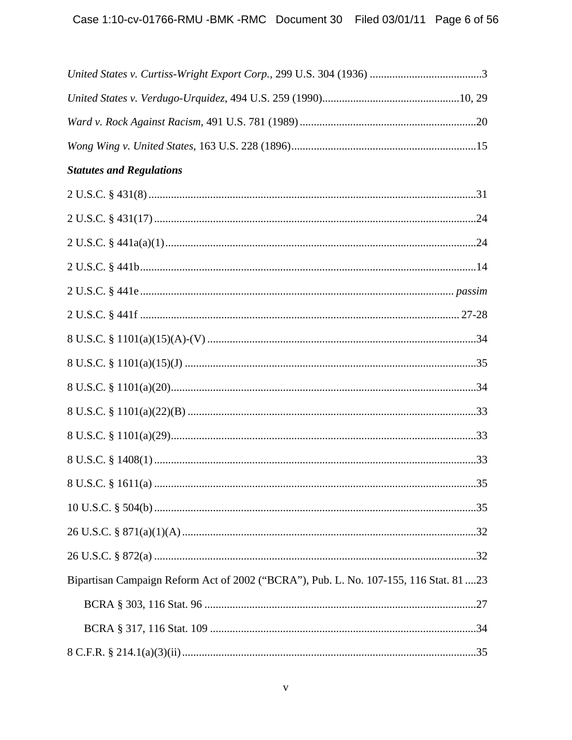| <b>Statutes and Regulations</b>                                                       |  |
|---------------------------------------------------------------------------------------|--|
|                                                                                       |  |
|                                                                                       |  |
|                                                                                       |  |
|                                                                                       |  |
|                                                                                       |  |
|                                                                                       |  |
|                                                                                       |  |
|                                                                                       |  |
|                                                                                       |  |
|                                                                                       |  |
|                                                                                       |  |
|                                                                                       |  |
|                                                                                       |  |
|                                                                                       |  |
|                                                                                       |  |
|                                                                                       |  |
| Bipartisan Campaign Reform Act of 2002 ("BCRA"), Pub. L. No. 107-155, 116 Stat. 81 23 |  |
|                                                                                       |  |
|                                                                                       |  |
|                                                                                       |  |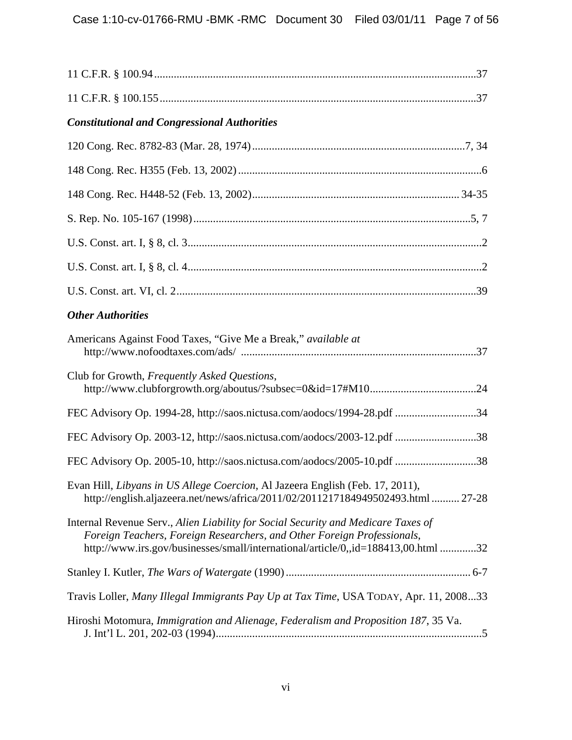| <b>Constitutional and Congressional Authorities</b>                                                                                                                                                                                               |  |
|---------------------------------------------------------------------------------------------------------------------------------------------------------------------------------------------------------------------------------------------------|--|
|                                                                                                                                                                                                                                                   |  |
|                                                                                                                                                                                                                                                   |  |
|                                                                                                                                                                                                                                                   |  |
|                                                                                                                                                                                                                                                   |  |
|                                                                                                                                                                                                                                                   |  |
|                                                                                                                                                                                                                                                   |  |
|                                                                                                                                                                                                                                                   |  |
| <b>Other Authorities</b>                                                                                                                                                                                                                          |  |
| Americans Against Food Taxes, "Give Me a Break," available at                                                                                                                                                                                     |  |
| Club for Growth, Frequently Asked Questions,                                                                                                                                                                                                      |  |
| FEC Advisory Op. 1994-28, http://saos.nictusa.com/aodocs/1994-28.pdf 34                                                                                                                                                                           |  |
| FEC Advisory Op. 2003-12, http://saos.nictusa.com/aodocs/2003-12.pdf 38                                                                                                                                                                           |  |
| FEC Advisory Op. 2005-10, http://saos.nictusa.com/aodocs/2005-10.pdf 38                                                                                                                                                                           |  |
| Evan Hill, Libyans in US Allege Coercion, Al Jazeera English (Feb. 17, 2011),<br>http://english.aljazeera.net/news/africa/2011/02/2011217184949502493.html  27-28                                                                                 |  |
| Internal Revenue Serv., Alien Liability for Social Security and Medicare Taxes of<br>Foreign Teachers, Foreign Researchers, and Other Foreign Professionals,<br>http://www.irs.gov/businesses/small/international/article/0,,id=188413,00.html 32 |  |
|                                                                                                                                                                                                                                                   |  |
| Travis Loller, Many Illegal Immigrants Pay Up at Tax Time, USA TODAY, Apr. 11, 200833                                                                                                                                                             |  |
| Hiroshi Motomura, Immigration and Alienage, Federalism and Proposition 187, 35 Va.                                                                                                                                                                |  |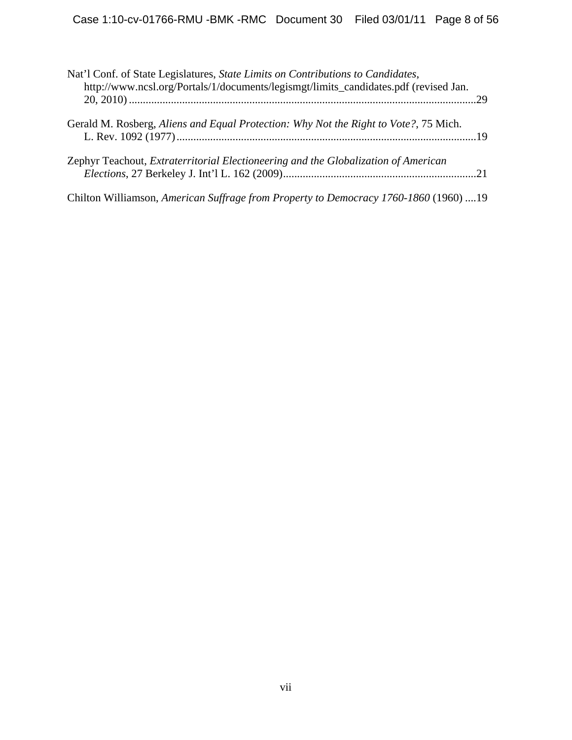| Nat'l Conf. of State Legislatures, State Limits on Contributions to Candidates,<br>http://www.ncsl.org/Portals/1/documents/legismgt/limits_candidates.pdf (revised Jan. |  |
|-------------------------------------------------------------------------------------------------------------------------------------------------------------------------|--|
| Gerald M. Rosberg, Aliens and Equal Protection: Why Not the Right to Vote?, 75 Mich.                                                                                    |  |
| Zephyr Teachout, Extraterritorial Electioneering and the Globalization of American                                                                                      |  |
| Chilton Williamson, American Suffrage from Property to Democracy 1760-1860 (1960) 19                                                                                    |  |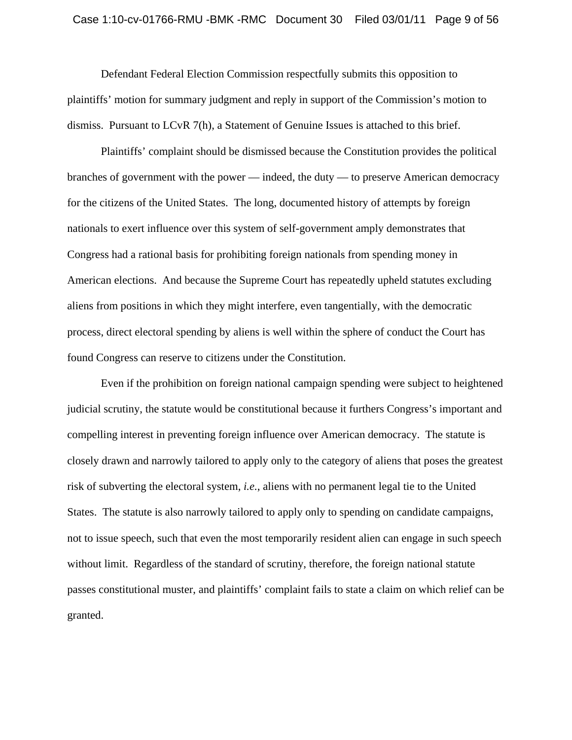Defendant Federal Election Commission respectfully submits this opposition to plaintiffs' motion for summary judgment and reply in support of the Commission's motion to dismiss. Pursuant to LCvR 7(h), a Statement of Genuine Issues is attached to this brief.

Plaintiffs' complaint should be dismissed because the Constitution provides the political branches of government with the power — indeed, the duty — to preserve American democracy for the citizens of the United States. The long, documented history of attempts by foreign nationals to exert influence over this system of self-government amply demonstrates that Congress had a rational basis for prohibiting foreign nationals from spending money in American elections. And because the Supreme Court has repeatedly upheld statutes excluding aliens from positions in which they might interfere, even tangentially, with the democratic process, direct electoral spending by aliens is well within the sphere of conduct the Court has found Congress can reserve to citizens under the Constitution.

Even if the prohibition on foreign national campaign spending were subject to heightened judicial scrutiny, the statute would be constitutional because it furthers Congress's important and compelling interest in preventing foreign influence over American democracy. The statute is closely drawn and narrowly tailored to apply only to the category of aliens that poses the greatest risk of subverting the electoral system, *i.e.*, aliens with no permanent legal tie to the United States. The statute is also narrowly tailored to apply only to spending on candidate campaigns, not to issue speech, such that even the most temporarily resident alien can engage in such speech without limit. Regardless of the standard of scrutiny, therefore, the foreign national statute passes constitutional muster, and plaintiffs' complaint fails to state a claim on which relief can be granted.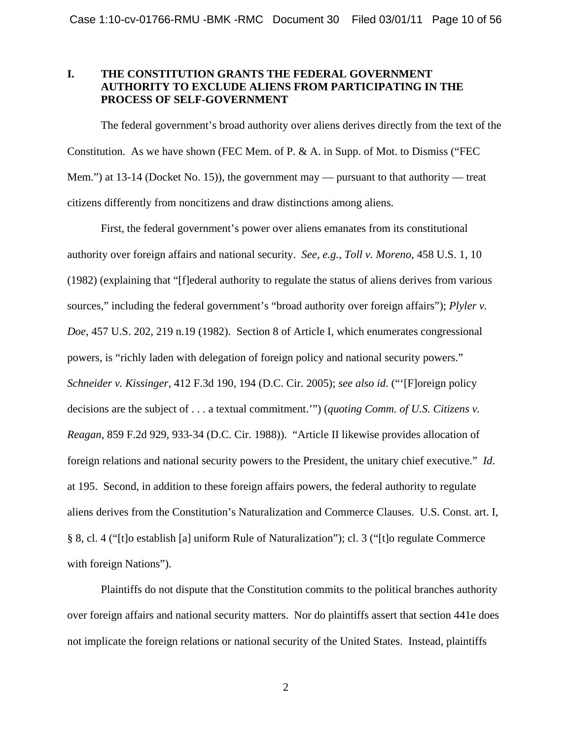# **I. THE CONSTITUTION GRANTS THE FEDERAL GOVERNMENT AUTHORITY TO EXCLUDE ALIENS FROM PARTICIPATING IN THE PROCESS OF SELF-GOVERNMENT**

The federal government's broad authority over aliens derives directly from the text of the Constitution. As we have shown (FEC Mem. of P. & A. in Supp. of Mot. to Dismiss ("FEC Mem.") at 13-14 (Docket No. 15)), the government may — pursuant to that authority — treat citizens differently from noncitizens and draw distinctions among aliens.

First, the federal government's power over aliens emanates from its constitutional authority over foreign affairs and national security. *See*, *e.g.*, *Toll v. Moreno*, 458 U.S. 1, 10 (1982) (explaining that "[f]ederal authority to regulate the status of aliens derives from various sources," including the federal government's "broad authority over foreign affairs"); *Plyler v. Doe*, 457 U.S. 202, 219 n.19 (1982). Section 8 of Article I, which enumerates congressional powers, is "richly laden with delegation of foreign policy and national security powers." *Schneider v. Kissinger*, 412 F.3d 190, 194 (D.C. Cir. 2005); *see also id*. ("'[F]oreign policy decisions are the subject of . . . a textual commitment.'") (*quoting Comm. of U.S. Citizens v. Reagan*, 859 F.2d 929, 933-34 (D.C. Cir. 1988)). "Article II likewise provides allocation of foreign relations and national security powers to the President, the unitary chief executive." *Id*. at 195. Second, in addition to these foreign affairs powers, the federal authority to regulate aliens derives from the Constitution's Naturalization and Commerce Clauses. [U.S. Const. art. I,](http://web2.westlaw.com/find/default.wl?tf=-1&rs=WLW11.01&fn=_top&sv=Split&docname=USCOARTIS8CL4&tc=-1&pbc=4714D25C&ordoc=1982129076&findtype=L&db=1000546&utid=1&vr=2.0&rp=%2ffind%2fdefault.wl&mt=FederalGovernment)  [§ 8, cl. 4](http://web2.westlaw.com/find/default.wl?tf=-1&rs=WLW11.01&fn=_top&sv=Split&docname=USCOARTIS8CL4&tc=-1&pbc=4714D25C&ordoc=1982129076&findtype=L&db=1000546&utid=1&vr=2.0&rp=%2ffind%2fdefault.wl&mt=FederalGovernment) ("[t]o establish [a] uniform Rule of Naturalization"); cl. 3 ("[t]o regulate Commerce with foreign Nations").

Plaintiffs do not dispute that the Constitution commits to the political branches authority over foreign affairs and national security matters. Nor do plaintiffs assert that section 441e does not implicate the foreign relations or national security of the United States. Instead, plaintiffs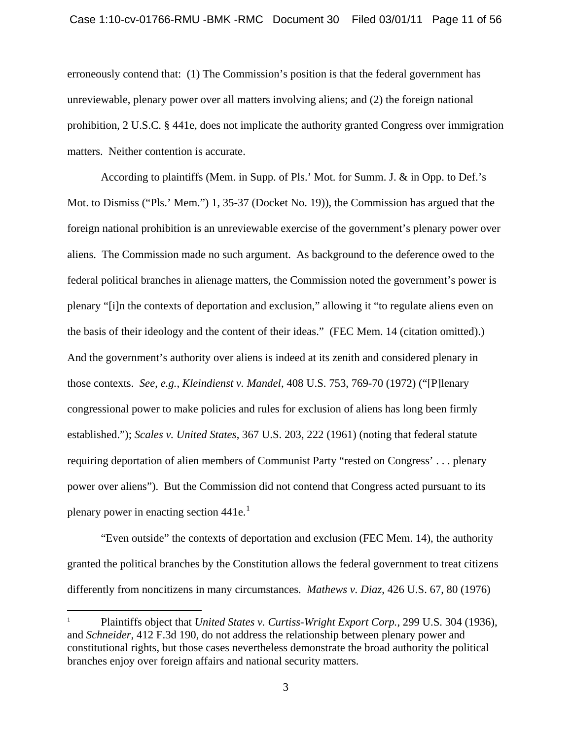erroneously contend that: (1) The Commission's position is that the federal government has unreviewable, plenary power over all matters involving aliens; and (2) the foreign national prohibition, 2 U.S.C. § 441e, does not implicate the authority granted Congress over immigration matters. Neither contention is accurate.

According to plaintiffs (Mem. in Supp. of Pls.' Mot. for Summ. J. & in Opp. to Def.'s Mot. to Dismiss ("Pls.' Mem.") 1, 35-37 (Docket No. 19)), the Commission has argued that the foreign national prohibition is an unreviewable exercise of the government's plenary power over aliens. The Commission made no such argument. As background to the deference owed to the federal political branches in alienage matters, the Commission noted the government's power is plenary "[i]n the contexts of deportation and exclusion," allowing it "to regulate aliens even on the basis of their ideology and the content of their ideas." (FEC Mem. 14 (citation omitted).) And the government's authority over aliens is indeed at its zenith and considered plenary in those contexts. *See*, *e.g.*, *Kleindienst v. Mandel*, 408 U.S. 753, 769-70 (1972) ("[P]lenary congressional power to make policies and rules for exclusion of aliens has long been firmly established."); *Scales v. United States*, 367 U.S. 203, 222 (1961) (noting that federal statute requiring deportation of alien members of Communist Party "rested on Congress' . . . plenary power over aliens"). But the Commission did not contend that Congress acted pursuant to its plenary power in enacting section  $441e^{1}$  $441e^{1}$  $441e^{1}$ .

"Even outside" the contexts of deportation and exclusion (FEC Mem. 14), the authority granted the political branches by the Constitution allows the federal government to treat citizens differently from noncitizens in many circumstances. *Mathews v. Diaz*, 426 U.S. 67, 80 (1976)

<span id="page-10-0"></span><sup>1</sup> Plaintiffs object that *United States v. Curtiss-Wright Export Corp.*, 299 U.S. 304 (1936), and *Schneider*, 412 F.3d 190, do not address the relationship between plenary power and constitutional rights, but those cases nevertheless demonstrate the broad authority the political branches enjoy over foreign affairs and national security matters.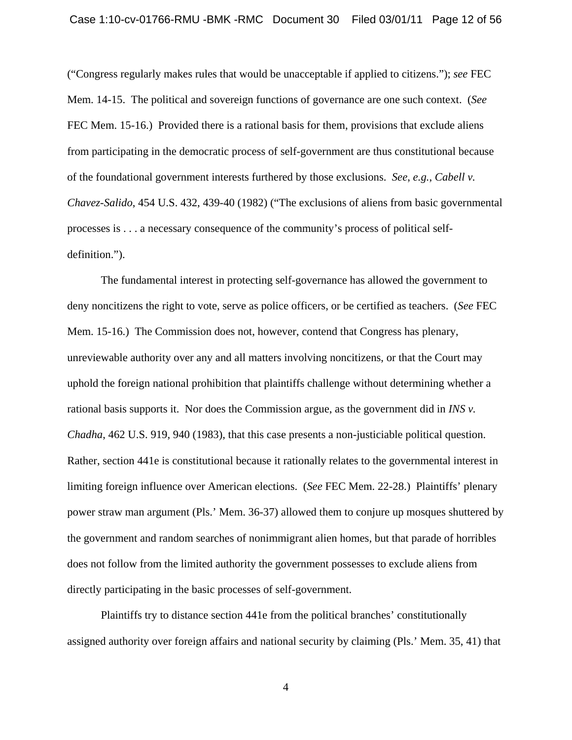("Congress regularly makes rules that would be unacceptable if applied to citizens."); *see* FEC Mem. 14-15. The political and sovereign functions of governance are one such context. (*See*  FEC Mem. 15-16.) Provided there is a rational basis for them, provisions that exclude aliens from participating in the democratic process of self-government are thus constitutional because of the foundational government interests furthered by those exclusions. *See*, *e.g.*, *Cabell v. Chavez-Salido*, 454 U.S. 432, 439-40 (1982) ("The exclusions of aliens from basic governmental processes is . . . a necessary consequence of the community's process of political selfdefinition.").

The fundamental interest in protecting self-governance has allowed the government to deny noncitizens the right to vote, serve as police officers, or be certified as teachers. (*See* FEC Mem. 15-16.) The Commission does not, however, contend that Congress has plenary, unreviewable authority over any and all matters involving noncitizens, or that the Court may uphold the foreign national prohibition that plaintiffs challenge without determining whether a rational basis supports it. Nor does the Commission argue, as the government did in *INS v. Chadha*, 462 U.S. 919, 940 (1983), that this case presents a non-justiciable political question. Rather, section 441e is constitutional because it rationally relates to the governmental interest in limiting foreign influence over American elections. (*See* FEC Mem. 22-28.) Plaintiffs' plenary power straw man argument (Pls.' Mem. 36-37) allowed them to conjure up mosques shuttered by the government and random searches of nonimmigrant alien homes, but that parade of horribles does not follow from the limited authority the government possesses to exclude aliens from directly participating in the basic processes of self-government.

Plaintiffs try to distance section 441e from the political branches' constitutionally assigned authority over foreign affairs and national security by claiming (Pls.' Mem. 35, 41) that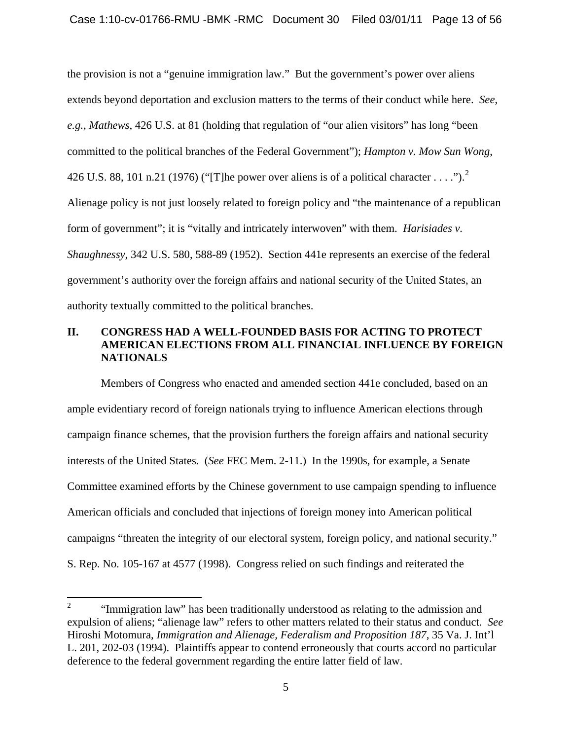the provision is not a "genuine immigration law." But the government's power over aliens extends beyond deportation and exclusion matters to the terms of their conduct while here. *See*, *e.g.*, *Mathews*, 426 U.S. at 81 (holding that regulation of "our alien visitors" has long "been committed to the political branches of the Federal Government"); *Hampton v. Mow Sun Wong*, 4[2](#page-12-0)6 U.S. 88, 101 n.21 (1976) ("[T]he power over aliens is of a political character . . . .").<sup>2</sup> Alienage policy is not just loosely related to foreign policy and "the maintenance of a republican form of government"; it is "vitally and intricately interwoven" with them. *Harisiades v. Shaughnessy*, 342 U.S. 580, 588-89 (1952). Section 441e represents an exercise of the federal government's authority over the foreign affairs and national security of the United States, an authority textually committed to the political branches.

# **II. CONGRESS HAD A WELL-FOUNDED BASIS FOR ACTING TO PROTECT AMERICAN ELECTIONS FROM ALL FINANCIAL INFLUENCE BY FOREIGN NATIONALS**

Members of Congress who enacted and amended section 441e concluded, based on an ample evidentiary record of foreign nationals trying to influence American elections through campaign finance schemes, that the provision furthers the foreign affairs and national security interests of the United States. (*See* FEC Mem. 2-11.) In the 1990s, for example, a Senate Committee examined efforts by the Chinese government to use campaign spending to influence American officials and concluded that injections of foreign money into American political campaigns "threaten the integrity of our electoral system, foreign policy, and national security." S. Rep. No. 105-167 at 4577 (1998). Congress relied on such findings and reiterated the

<span id="page-12-0"></span> $\frac{1}{2}$  "Immigration law" has been traditionally understood as relating to the admission and expulsion of aliens; "alienage law" refers to other matters related to their status and conduct. *See* Hiroshi Motomura, *Immigration and Alienage, Federalism and Proposition 187*, 35 Va. J. Int'l L. 201, 202-03 (1994). Plaintiffs appear to contend erroneously that courts accord no particular deference to the federal government regarding the entire latter field of law.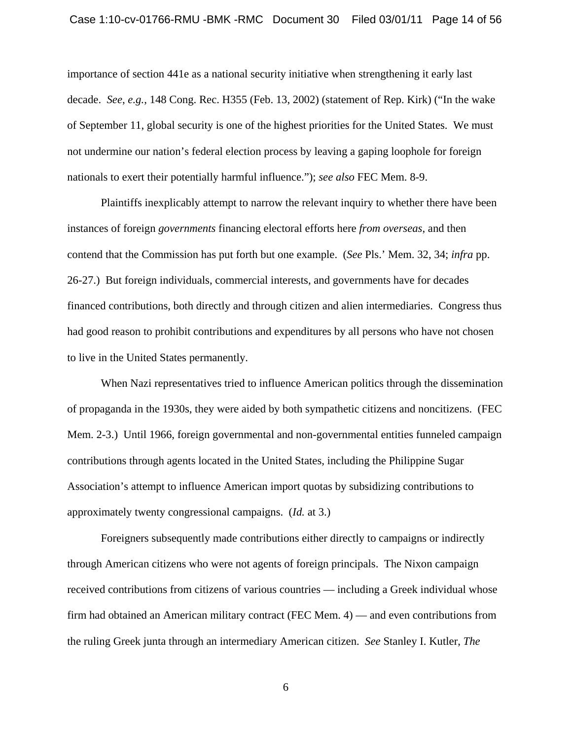#### Case 1:10-cv-01766-RMU -BMK -RMC Document 30 Filed 03/01/11 Page 14 of 56

importance of section 441e as a national security initiative when strengthening it early last decade. *See*, *e.g.*, 148 Cong. Rec. H355 (Feb. 13, 2002) (statement of Rep. Kirk) ("In the wake of September 11, global security is one of the highest priorities for the United States. We must not undermine our nation's federal election process by leaving a gaping loophole for foreign nationals to exert their potentially harmful influence."); *see also* FEC Mem. 8-9.

Plaintiffs inexplicably attempt to narrow the relevant inquiry to whether there have been instances of foreign *governments* financing electoral efforts here *from overseas*, and then contend that the Commission has put forth but one example. (*See* Pls.' Mem. 32, 34; *infra* pp. 26-27.) But foreign individuals, commercial interests, and governments have for decades financed contributions, both directly and through citizen and alien intermediaries. Congress thus had good reason to prohibit contributions and expenditures by all persons who have not chosen to live in the United States permanently.

When Nazi representatives tried to influence American politics through the dissemination of propaganda in the 1930s, they were aided by both sympathetic citizens and noncitizens. (FEC Mem. 2-3.) Until 1966, foreign governmental and non-governmental entities funneled campaign contributions through agents located in the United States, including the Philippine Sugar Association's attempt to influence American import quotas by subsidizing contributions to approximately twenty congressional campaigns. (*Id.* at 3.)

Foreigners subsequently made contributions either directly to campaigns or indirectly through American citizens who were not agents of foreign principals. The Nixon campaign received contributions from citizens of various countries — including a Greek individual whose firm had obtained an American military contract (FEC Mem. 4) — and even contributions from the ruling Greek junta through an intermediary American citizen. *See* Stanley I. Kutler, *The*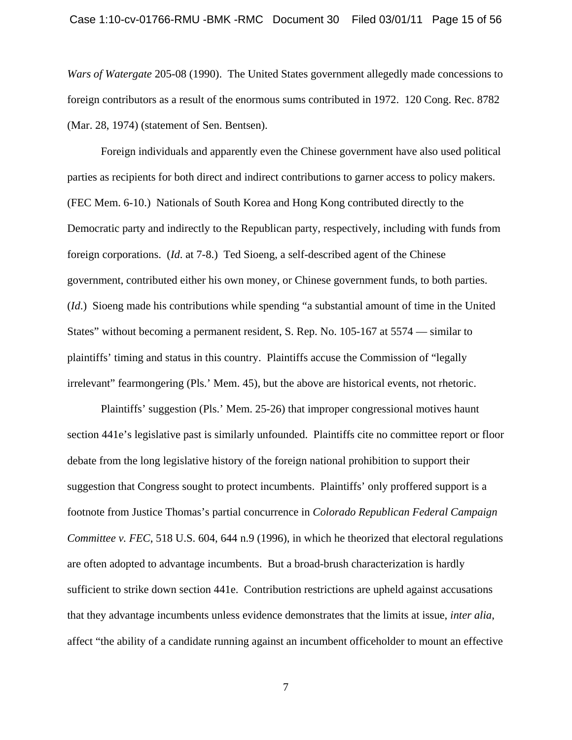*Wars of Watergate* 205-08 (1990). The United States government allegedly made concessions to foreign contributors as a result of the enormous sums contributed in 1972. 120 Cong. Rec. 8782 (Mar. 28, 1974) (statement of Sen. Bentsen).

Foreign individuals and apparently even the Chinese government have also used political parties as recipients for both direct and indirect contributions to garner access to policy makers. (FEC Mem. 6-10.) Nationals of South Korea and Hong Kong contributed directly to the Democratic party and indirectly to the Republican party, respectively, including with funds from foreign corporations. (*Id*. at 7-8.) Ted Sioeng, a self-described agent of the Chinese government, contributed either his own money, or Chinese government funds, to both parties. (*Id*.) Sioeng made his contributions while spending "a substantial amount of time in the United States" without becoming a permanent resident, S. Rep. No. 105-167 at 5574 — similar to plaintiffs' timing and status in this country. Plaintiffs accuse the Commission of "legally irrelevant" fearmongering (Pls.' Mem. 45), but the above are historical events, not rhetoric.

Plaintiffs' suggestion (Pls.' Mem. 25-26) that improper congressional motives haunt section 441e's legislative past is similarly unfounded. Plaintiffs cite no committee report or floor debate from the long legislative history of the foreign national prohibition to support their suggestion that Congress sought to protect incumbents. Plaintiffs' only proffered support is a footnote from Justice Thomas's partial concurrence in *Colorado Republican Federal Campaign Committee v. FEC*, 518 U.S. 604, 644 n.9 (1996), in which he theorized that electoral regulations are often adopted to advantage incumbents. But a broad-brush characterization is hardly sufficient to strike down section 441e. Contribution restrictions are upheld against accusations that they advantage incumbents unless evidence demonstrates that the limits at issue, *inter alia*, affect "the ability of a candidate running against an incumbent officeholder to mount an effective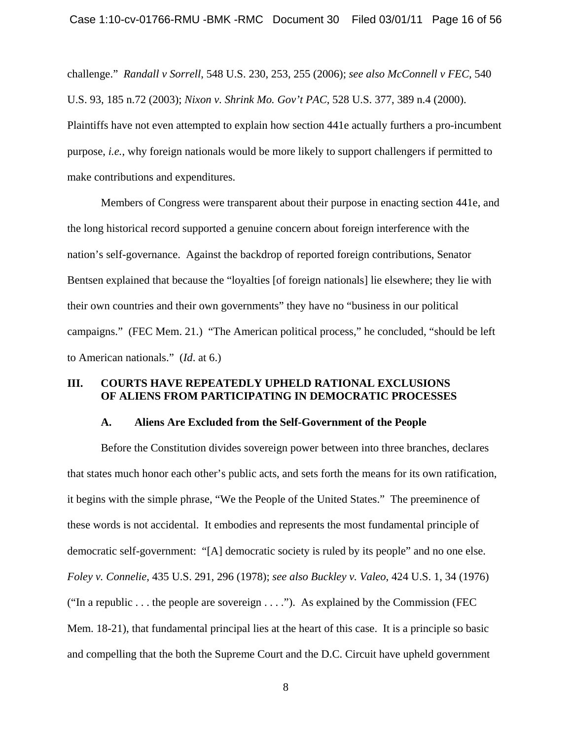challenge." *Randall v Sorrell*, 548 U.S. 230, 253, 255 (2006); *see also McConnell v FEC*, 540 U.S. 93, 185 n.72 (2003); *Nixon v. Shrink Mo. Gov't PAC*, 528 U.S. 377, 389 n.4 (2000). Plaintiffs have not even attempted to explain how section 441e actually furthers a pro-incumbent purpose, *i.e.*, why foreign nationals would be more likely to support challengers if permitted to make contributions and expenditures.

Members of Congress were transparent about their purpose in enacting section 441e, and the long historical record supported a genuine concern about foreign interference with the nation's self-governance. Against the backdrop of reported foreign contributions, Senator Bentsen explained that because the "loyalties [of foreign nationals] lie elsewhere; they lie with their own countries and their own governments" they have no "business in our political campaigns." (FEC Mem. 21.) "The American political process," he concluded, "should be left to American nationals." (*Id*. at 6.)

## **III. COURTS HAVE REPEATEDLY UPHELD RATIONAL EXCLUSIONS OF ALIENS FROM PARTICIPATING IN DEMOCRATIC PROCESSES**

#### **A. Aliens Are Excluded from the Self-Government of the People**

Before the Constitution divides sovereign power between into three branches, declares that states much honor each other's public acts, and sets forth the means for its own ratification, it begins with the simple phrase, "We the People of the United States." The preeminence of these words is not accidental. It embodies and represents the most fundamental principle of democratic self-government: "[A] democratic society is ruled by its people" and no one else. *Foley v. Connelie*, 435 U.S. 291, 296 (1978); *see also Buckley v. Valeo*, 424 U.S. 1, 34 (1976) ("In a republic . . . the people are sovereign  $\dots$ "). As explained by the Commission (FEC Mem. 18-21), that fundamental principal lies at the heart of this case. It is a principle so basic and compelling that the both the Supreme Court and the D.C. Circuit have upheld government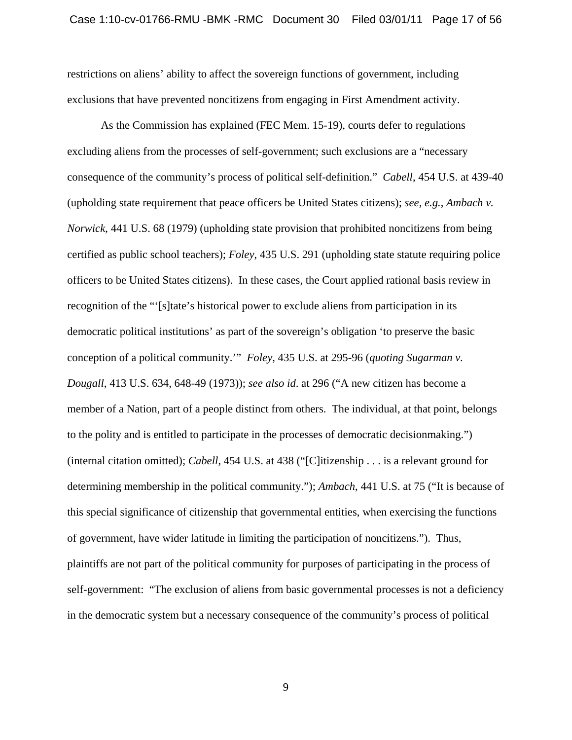restrictions on aliens' ability to affect the sovereign functions of government, including exclusions that have prevented noncitizens from engaging in First Amendment activity.

As the Commission has explained (FEC Mem. 15-19), courts defer to regulations excluding aliens from the processes of self-government; such exclusions are a "necessary consequence of the community's process of political self-definition." *Cabell*, 454 U.S. at 439-40 (upholding state requirement that peace officers be United States citizens); *see*, *e.g.*, *Ambach v. Norwick*, 441 U.S. 68 (1979) (upholding state provision that prohibited noncitizens from being certified as public school teachers); *Foley*, 435 U.S. 291 (upholding state statute requiring police officers to be United States citizens). In these cases, the Court applied rational basis review in recognition of the "'[s]tate's historical power to exclude aliens from participation in its democratic political institutions' as part of the sovereign's obligation 'to preserve the basic conception of a political community.'" *Foley*, 435 U.S. at 295-96 (*quoting Sugarman v. Dougall*, 413 U.S. 634, 648-49 (1973)); *see also id*. at 296 ("A new citizen has become a member of a Nation, part of a people distinct from others. The individual, at that point, belongs to the polity and is entitled to participate in the processes of democratic decisionmaking.") (internal citation omitted); *Cabell*, 454 U.S. at 438 ("[C]itizenship . . . is a relevant ground for determining membership in the political community."); *Ambach*, 441 U.S. at 75 ("It is because of this special significance of citizenship that governmental entities, when exercising the functions of government, have wider latitude in limiting the participation of noncitizens."). Thus, plaintiffs are not part of the political community for purposes of participating in the process of self-government: "The exclusion of aliens from basic governmental processes is not a deficiency in the democratic system but a necessary consequence of the community's process of political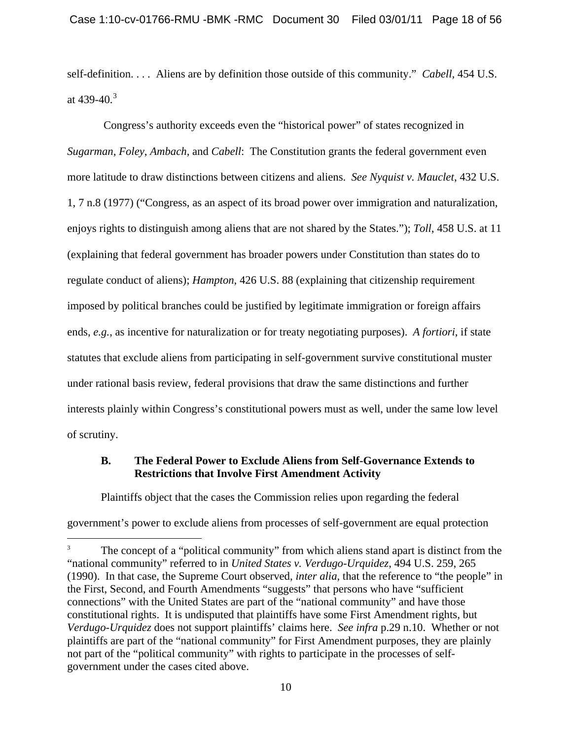self-definition. . . . Aliens are by definition those outside of this community." *Cabell*, 454 U.S. at 4[3](#page-17-0)9-40.<sup>3</sup>

 Congress's authority exceeds even the "historical power" of states recognized in *Sugarman*, *Foley*, *Ambach,* and *Cabell*: The Constitution grants the federal government even more latitude to draw distinctions between citizens and aliens. *See Nyquist v. Mauclet*, 432 U.S. 1, 7 n.8 (1977) ("Congress, as an aspect of its broad power over immigration and naturalization, enjoys rights to distinguish among aliens that are not shared by the States."); *Toll*, 458 U.S. at 11 (explaining that federal government has broader powers under Constitution than states do to regulate conduct of aliens); *Hampton*, 426 U.S. 88 (explaining that citizenship requirement imposed by political branches could be justified by legitimate immigration or foreign affairs ends, *e.g.*, as incentive for naturalization or for treaty negotiating purposes). *A fortiori*, if state statutes that exclude aliens from participating in self-government survive constitutional muster under rational basis review, federal provisions that draw the same distinctions and further interests plainly within Congress's constitutional powers must as well, under the same low level of scrutiny.

#### **B. The Federal Power to Exclude Aliens from Self-Governance Extends to Restrictions that Involve First Amendment Activity**

Plaintiffs object that the cases the Commission relies upon regarding the federal

government's power to exclude aliens from processes of self-government are equal protection

 $\overline{a}$ 

<span id="page-17-0"></span><sup>3</sup> The concept of a "political community" from which aliens stand apart is distinct from the "national community" referred to in *United States v. Verdugo-Urquidez*, 494 U.S. 259, 265 (1990). In that case, the Supreme Court observed, *inter alia*, that the reference to "the people" in the First, Second, and Fourth Amendments "suggests" that persons who have "sufficient connections" with the United States are part of the "national community" and have those constitutional rights. It is undisputed that plaintiffs have some First Amendment rights, but *Verdugo-Urquidez* does not support plaintiffs' claims here. *See infra* p.29 n.10. Whether or not plaintiffs are part of the "national community" for First Amendment purposes, they are plainly not part of the "political community" with rights to participate in the processes of selfgovernment under the cases cited above.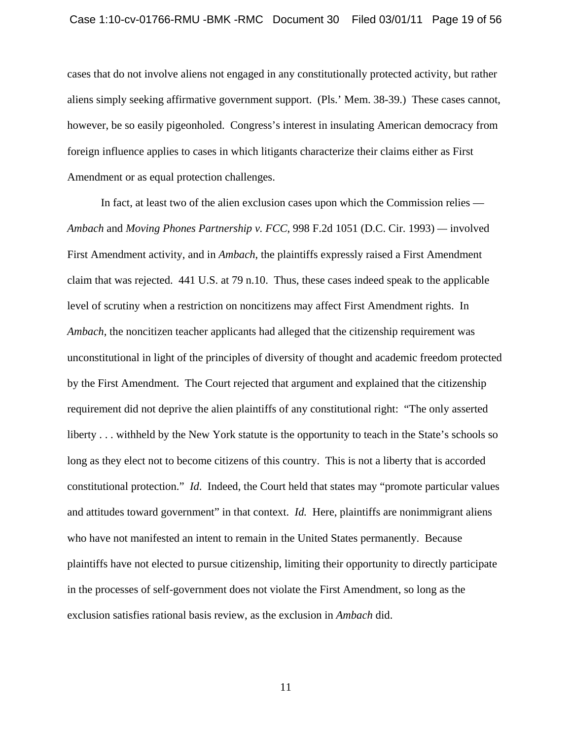cases that do not involve aliens not engaged in any constitutionally protected activity, but rather aliens simply seeking affirmative government support. (Pls.' Mem. 38-39.) These cases cannot, however, be so easily pigeonholed. Congress's interest in insulating American democracy from foreign influence applies to cases in which litigants characterize their claims either as First Amendment or as equal protection challenges.

In fact, at least two of the alien exclusion cases upon which the Commission relies — *Ambach* and *Moving Phones Partnership v. FCC*, 998 F.2d 1051 (D.C. Cir. 1993) *—* involved First Amendment activity, and in *Ambach*, the plaintiffs expressly raised a First Amendment claim that was rejected. 441 U.S. at 79 n.10. Thus, these cases indeed speak to the applicable level of scrutiny when a restriction on noncitizens may affect First Amendment rights. In *Ambach*, the noncitizen teacher applicants had alleged that the citizenship requirement was unconstitutional in light of the principles of diversity of thought and academic freedom protected by the First Amendment. The Court rejected that argument and explained that the citizenship requirement did not deprive the alien plaintiffs of any constitutional right: "The only asserted liberty . . . withheld by the New York statute is the opportunity to teach in the State's schools so long as they elect not to become citizens of this country. This is not a liberty that is accorded constitutional protection." *Id*. Indeed, the Court held that states may "promote particular values and attitudes toward government" in that context. *Id.* Here, plaintiffs are nonimmigrant aliens who have not manifested an intent to remain in the United States permanently. Because plaintiffs have not elected to pursue citizenship, limiting their opportunity to directly participate in the processes of self-government does not violate the First Amendment, so long as the exclusion satisfies rational basis review, as the exclusion in *Ambach* did.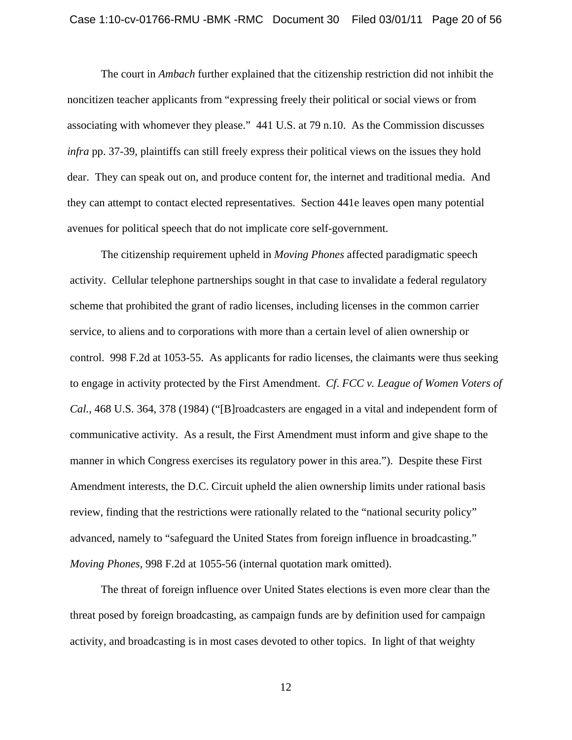The court in *Ambach* further explained that the citizenship restriction did not inhibit the noncitizen teacher applicants from "expressing freely their political or social views or from associating with whomever they please." 441 U.S. at 79 n.10. As the Commission discusses *infra* pp. 37-39, plaintiffs can still freely express their political views on the issues they hold dear. They can speak out on, and produce content for, the internet and traditional media. And they can attempt to contact elected representatives. Section 441e leaves open many potential avenues for political speech that do not implicate core self-government.

The citizenship requirement upheld in *Moving Phones* affected paradigmatic speech activity. Cellular telephone partnerships sought in that case to invalidate a federal regulatory scheme that prohibited the grant of radio licenses, including licenses in the common carrier service, to aliens and to corporations with more than a certain level of alien ownership or control. 998 F.2d at 1053-55. As applicants for radio licenses, the claimants were thus seeking to engage in activity protected by the First Amendment. *Cf*. *FCC v. League of Women Voters of Cal.*, 468 U.S. 364, 378 (1984) ("[B]roadcasters are engaged in a vital and independent form of communicative activity. As a result, the First Amendment must inform and give shape to the manner in which Congress exercises its regulatory power in this area."). Despite these First Amendment interests, the D.C. Circuit upheld the alien ownership limits under rational basis review, finding that the restrictions were rationally related to the "national security policy" advanced, namely to "safeguard the United States from foreign influence in broadcasting." *Moving Phones*, 998 F.2d at 1055-56 (internal quotation mark omitted).

The threat of foreign influence over United States elections is even more clear than the threat posed by foreign broadcasting, as campaign funds are by definition used for campaign activity, and broadcasting is in most cases devoted to other topics. In light of that weighty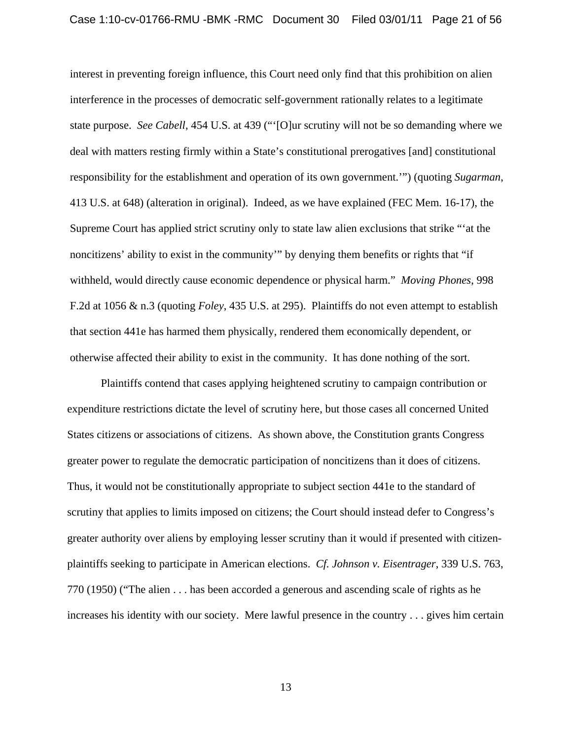interest in preventing foreign influence, this Court need only find that this prohibition on alien interference in the processes of democratic self-government rationally relates to a legitimate state purpose. *See Cabell*, 454 U.S. at 439 ("'[O]ur scrutiny will not be so demanding where we deal with matters resting firmly within a State's constitutional prerogatives [and] constitutional responsibility for the establishment and operation of its own government.'") (quoting *Sugarman*, 413 U.S. at 648) (alteration in original). Indeed, as we have explained (FEC Mem. 16-17), the Supreme Court has applied strict scrutiny only to state law alien exclusions that strike "'at the noncitizens' ability to exist in the community'" by denying them benefits or rights that "if withheld, would directly cause economic dependence or physical harm." *Moving Phones*, 998 F.2d at 1056 & n.3 (quoting *Foley*, 435 U.S. at 295). Plaintiffs do not even attempt to establish that section 441e has harmed them physically, rendered them economically dependent, or otherwise affected their ability to exist in the community. It has done nothing of the sort.

Plaintiffs contend that cases applying heightened scrutiny to campaign contribution or expenditure restrictions dictate the level of scrutiny here, but those cases all concerned United States citizens or associations of citizens. As shown above, the Constitution grants Congress greater power to regulate the democratic participation of noncitizens than it does of citizens. Thus, it would not be constitutionally appropriate to subject section 441e to the standard of scrutiny that applies to limits imposed on citizens; the Court should instead defer to Congress's greater authority over aliens by employing lesser scrutiny than it would if presented with citizenplaintiffs seeking to participate in American elections. *Cf. Johnson v. Eisentrager*, 339 U.S. 763, 770 (1950) ("The alien . . . has been accorded a generous and ascending scale of rights as he increases his identity with our society. Mere lawful presence in the country . . . gives him certain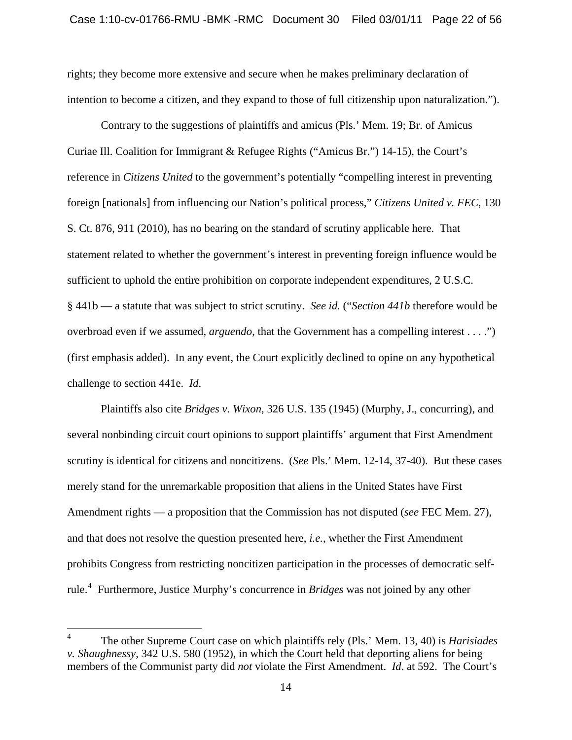rights; they become more extensive and secure when he makes preliminary declaration of intention to become a citizen, and they expand to those of full citizenship upon naturalization.").

Contrary to the suggestions of plaintiffs and amicus (Pls.' Mem. 19; Br. of Amicus Curiae Ill. Coalition for Immigrant & Refugee Rights ("Amicus Br.") 14-15), the Court's reference in *Citizens United* to the government's potentially "compelling interest in preventing foreign [nationals] from influencing our Nation's political process," *Citizens United v. FEC*, 130 S. Ct. 876, 911 (2010), has no bearing on the standard of scrutiny applicable here. That statement related to whether the government's interest in preventing foreign influence would be sufficient to uphold the entire prohibition on corporate independent expenditures, 2 U.S.C. § 441b — a statute that was subject to strict scrutiny. *See id.* ("*Section 441b* therefore would be overbroad even if we assumed, *arguendo*, that the Government has a compelling interest . . . .") (first emphasis added). In any event, the Court explicitly declined to opine on any hypothetical challenge to section 441e. *Id*.

Plaintiffs also cite *Bridges v. Wixon*, 326 U.S. 135 (1945) (Murphy, J., concurring), and several nonbinding circuit court opinions to support plaintiffs' argument that First Amendment scrutiny is identical for citizens and noncitizens. (*See* Pls.' Mem. 12-14, 37-40). But these cases merely stand for the unremarkable proposition that aliens in the United States have First Amendment rights — a proposition that the Commission has not disputed (*see* FEC Mem. 27), and that does not resolve the question presented here, *i.e.*, whether the First Amendment prohibits Congress from restricting noncitizen participation in the processes of democratic selfrule.[4](#page-21-0) Furthermore, Justice Murphy's concurrence in *Bridges* was not joined by any other

<span id="page-21-0"></span><sup>4</sup> The other Supreme Court case on which plaintiffs rely (Pls.' Mem. 13, 40) is *Harisiades v. Shaughnessy*, 342 U.S. 580 (1952), in which the Court held that deporting aliens for being members of the Communist party did *not* violate the First Amendment. *Id*. at 592. The Court's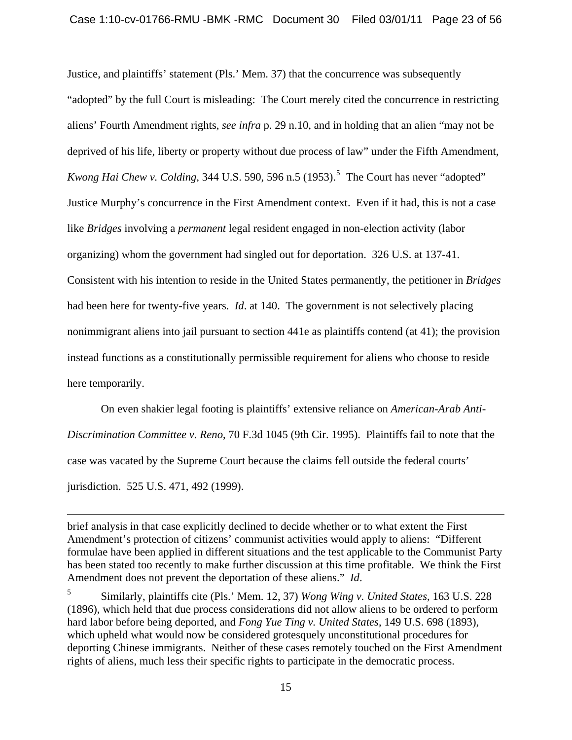Justice, and plaintiffs' statement (Pls.' Mem. 37) that the concurrence was subsequently "adopted" by the full Court is misleading: The Court merely cited the concurrence in restricting aliens' Fourth Amendment rights, *see infra* p. 29 n.10, and in holding that an alien "may not be deprived of his life, liberty or property without due process of law" under the Fifth Amendment, *Kwong Hai Chew v. Colding*, 344 U.S. [5](#page-22-0)90, 596 n.5  $(1953)$ .<sup>5</sup> The Court has never "adopted" Justice Murphy's concurrence in the First Amendment context. Even if it had, this is not a case like *Bridges* involving a *permanent* legal resident engaged in non-election activity (labor organizing) whom the government had singled out for deportation. 326 U.S. at 137-41. Consistent with his intention to reside in the United States permanently, the petitioner in *Bridges* had been here for twenty-five years. *Id*. at 140. The government is not selectively placing nonimmigrant aliens into jail pursuant to section 441e as plaintiffs contend (at 41); the provision instead functions as a constitutionally permissible requirement for aliens who choose to reside here temporarily.

On even shakier legal footing is plaintiffs' extensive reliance on *American-Arab Anti-Discrimination Committee v. Reno*, 70 F.3d 1045 (9th Cir. 1995). Plaintiffs fail to note that the case was vacated by the Supreme Court because the claims fell outside the federal courts' jurisdiction. 525 U.S. 471, 492 (1999).

 $\overline{a}$ 

brief analysis in that case explicitly declined to decide whether or to what extent the First Amendment's protection of citizens' communist activities would apply to aliens: "Different formulae have been applied in different situations and the test applicable to the Communist Party has been stated too recently to make further discussion at this time profitable. We think the First Amendment does not prevent the deportation of these aliens." *Id*.

<span id="page-22-0"></span><sup>5</sup> Similarly, plaintiffs cite (Pls.' Mem. 12, 37) *Wong Wing v. United States*, 163 U.S. 228 (1896), which held that due process considerations did not allow aliens to be ordered to perform hard labor before being deported, and *Fong Yue Ting v. United States*, 149 U.S. 698 (1893), which upheld what would now be considered grotesquely unconstitutional procedures for deporting Chinese immigrants. Neither of these cases remotely touched on the First Amendment rights of aliens, much less their specific rights to participate in the democratic process.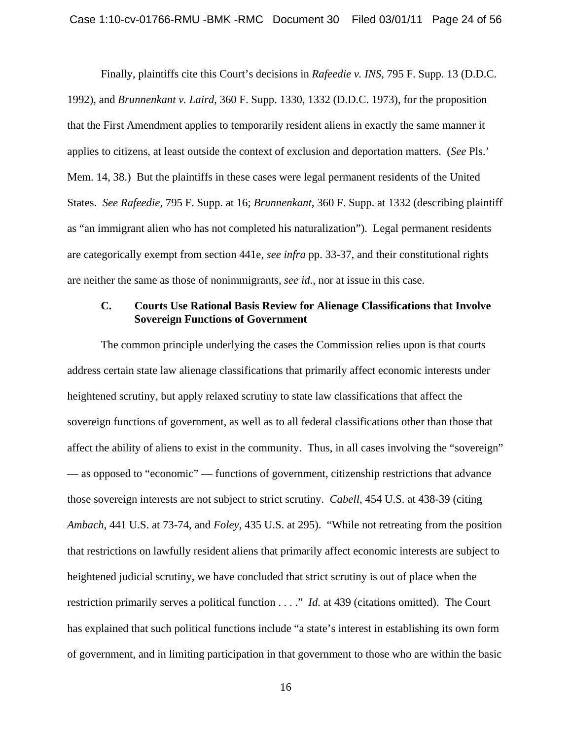Finally, plaintiffs cite this Court's decisions in *Rafeedie v. INS*, 795 F. Supp. 13 (D.D.C. 1992), and *Brunnenkant v. Laird*, 360 F. Supp. 1330, 1332 (D.D.C. 1973), for the proposition that the First Amendment applies to temporarily resident aliens in exactly the same manner it applies to citizens, at least outside the context of exclusion and deportation matters. (*See* Pls.' Mem. 14, 38.) But the plaintiffs in these cases were legal permanent residents of the United States. *See Rafeedie*, 795 F. Supp. at 16; *Brunnenkant*, 360 F. Supp. at 1332 (describing plaintiff as "an immigrant alien who has not completed his naturalization"). Legal permanent residents are categorically exempt from section 441e, *see infra* pp. 33-37, and their constitutional rights are neither the same as those of nonimmigrants, *see id*., nor at issue in this case.

### **C. Courts Use Rational Basis Review for Alienage Classifications that Involve Sovereign Functions of Government**

The common principle underlying the cases the Commission relies upon is that courts address certain state law alienage classifications that primarily affect economic interests under heightened scrutiny, but apply relaxed scrutiny to state law classifications that affect the sovereign functions of government, as well as to all federal classifications other than those that affect the ability of aliens to exist in the community. Thus, in all cases involving the "sovereign" — as opposed to "economic" — functions of government, citizenship restrictions that advance those sovereign interests are not subject to strict scrutiny. *Cabell*, 454 U.S. at 438-39 (citing *Ambach*, 441 U.S. at 73-74, and *Foley*, 435 U.S. at 295). "While not retreating from the position that restrictions on lawfully resident aliens that primarily affect economic interests are subject to heightened judicial scrutiny, we have concluded that strict scrutiny is out of place when the restriction primarily serves a political function . . . ." *Id*. at 439 (citations omitted). The Court has explained that such political functions include "a state's interest in establishing its own form of government, and in limiting participation in that government to those who are within the basic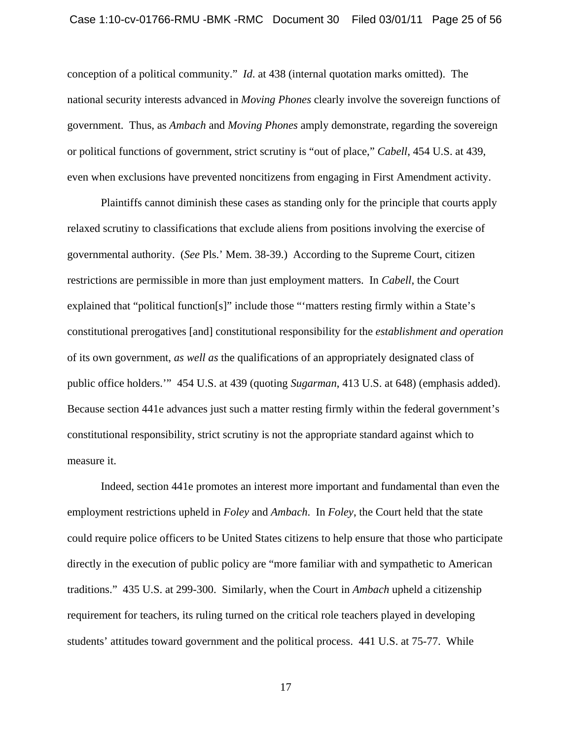conception of a political community." *Id*. at 438 (internal quotation marks omitted). The national security interests advanced in *Moving Phones* clearly involve the sovereign functions of government. Thus, as *Ambach* and *Moving Phones* amply demonstrate, regarding the sovereign or political functions of government, strict scrutiny is "out of place," *Cabell*, 454 U.S. at 439, even when exclusions have prevented noncitizens from engaging in First Amendment activity.

Plaintiffs cannot diminish these cases as standing only for the principle that courts apply relaxed scrutiny to classifications that exclude aliens from positions involving the exercise of governmental authority. (*See* Pls.' Mem. 38-39.) According to the Supreme Court, citizen restrictions are permissible in more than just employment matters. In *Cabell*, the Court explained that "political function[s]" include those "'matters resting firmly within a State's constitutional prerogatives [and] constitutional responsibility for the *establishment and operation* of its own government, *as well as* the qualifications of an appropriately designated class of public office holders.'" 454 U.S. at 439 (quoting *Sugarman*, 413 U.S. at 648) (emphasis added). Because section 441e advances just such a matter resting firmly within the federal government's constitutional responsibility, strict scrutiny is not the appropriate standard against which to measure it.

Indeed, section 441e promotes an interest more important and fundamental than even the employment restrictions upheld in *Foley* and *Ambach*. In *Foley*, the Court held that the state could require police officers to be United States citizens to help ensure that those who participate directly in the execution of public policy are "more familiar with and sympathetic to American traditions." 435 U.S. at 299-300. Similarly, when the Court in *Ambach* upheld a citizenship requirement for teachers, its ruling turned on the critical role teachers played in developing students' attitudes toward government and the political process. 441 U.S. at 75-77. While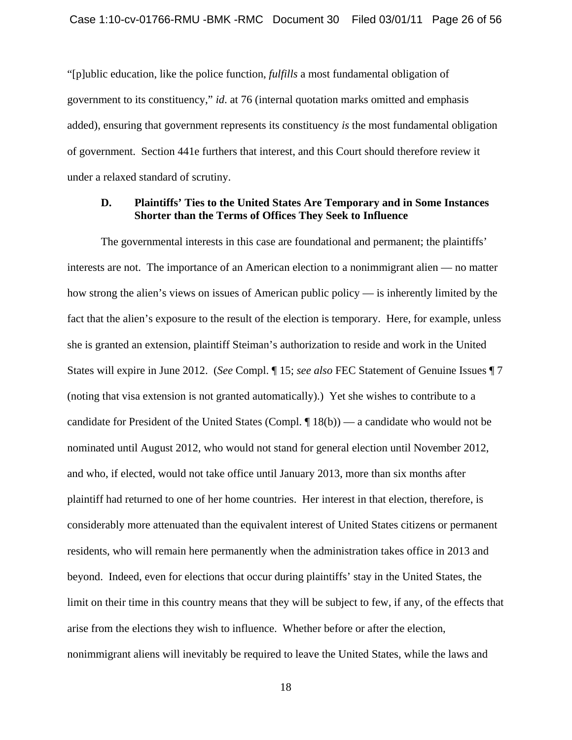"[p]ublic education, like the police function, *fulfills* a most fundamental obligation of government to its constituency," *id*. at 76 (internal quotation marks omitted and emphasis added), ensuring that government represents its constituency *is* the most fundamental obligation of government. Section 441e furthers that interest, and this Court should therefore review it under a relaxed standard of scrutiny.

#### **D. Plaintiffs' Ties to the United States Are Temporary and in Some Instances Shorter than the Terms of Offices They Seek to Influence**

The governmental interests in this case are foundational and permanent; the plaintiffs' interests are not. The importance of an American election to a nonimmigrant alien — no matter how strong the alien's views on issues of American public policy — is inherently limited by the fact that the alien's exposure to the result of the election is temporary. Here, for example, unless she is granted an extension, plaintiff Steiman's authorization to reside and work in the United States will expire in June 2012. (*See* Compl. ¶ 15; *see also* FEC Statement of Genuine Issues ¶ 7 (noting that visa extension is not granted automatically).) Yet she wishes to contribute to a candidate for President of the United States (Compl. ¶ 18(b)) — a candidate who would not be nominated until August 2012, who would not stand for general election until November 2012, and who, if elected, would not take office until January 2013, more than six months after plaintiff had returned to one of her home countries. Her interest in that election, therefore, is considerably more attenuated than the equivalent interest of United States citizens or permanent residents, who will remain here permanently when the administration takes office in 2013 and beyond. Indeed, even for elections that occur during plaintiffs' stay in the United States, the limit on their time in this country means that they will be subject to few, if any, of the effects that arise from the elections they wish to influence. Whether before or after the election, nonimmigrant aliens will inevitably be required to leave the United States, while the laws and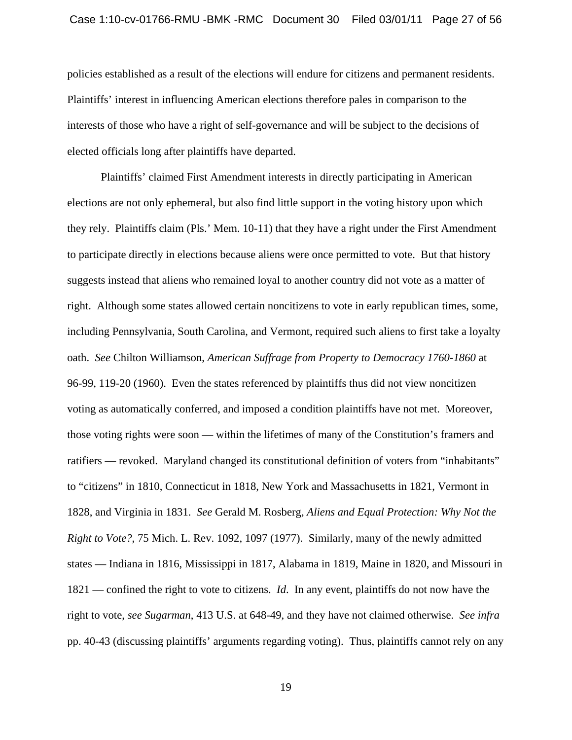policies established as a result of the elections will endure for citizens and permanent residents. Plaintiffs' interest in influencing American elections therefore pales in comparison to the interests of those who have a right of self-governance and will be subject to the decisions of elected officials long after plaintiffs have departed.

Plaintiffs' claimed First Amendment interests in directly participating in American elections are not only ephemeral, but also find little support in the voting history upon which they rely. Plaintiffs claim (Pls.' Mem. 10-11) that they have a right under the First Amendment to participate directly in elections because aliens were once permitted to vote. But that history suggests instead that aliens who remained loyal to another country did not vote as a matter of right. Although some states allowed certain noncitizens to vote in early republican times, some, including Pennsylvania, South Carolina, and Vermont, required such aliens to first take a loyalty oath. *See* Chilton Williamson, *American Suffrage from Property to Democracy 1760-1860* at 96-99, 119-20 (1960). Even the states referenced by plaintiffs thus did not view noncitizen voting as automatically conferred, and imposed a condition plaintiffs have not met. Moreover, those voting rights were soon — within the lifetimes of many of the Constitution's framers and ratifiers — revoked. Maryland changed its constitutional definition of voters from "inhabitants" to "citizens" in 1810, Connecticut in 1818, New York and Massachusetts in 1821, Vermont in 1828, and Virginia in 1831. *See* Gerald M. Rosberg, *Aliens and Equal Protection: Why Not the Right to Vote?*, 75 Mich. L. Rev. 1092, 1097 (1977). Similarly, many of the newly admitted states — Indiana in 1816, Mississippi in 1817, Alabama in 1819, Maine in 1820, and Missouri in 1821 — confined the right to vote to citizens. *Id*. In any event, plaintiffs do not now have the right to vote, *see Sugarman*, 413 U.S. at 648-49, and they have not claimed otherwise. *See infra* pp. 40-43 (discussing plaintiffs' arguments regarding voting). Thus, plaintiffs cannot rely on any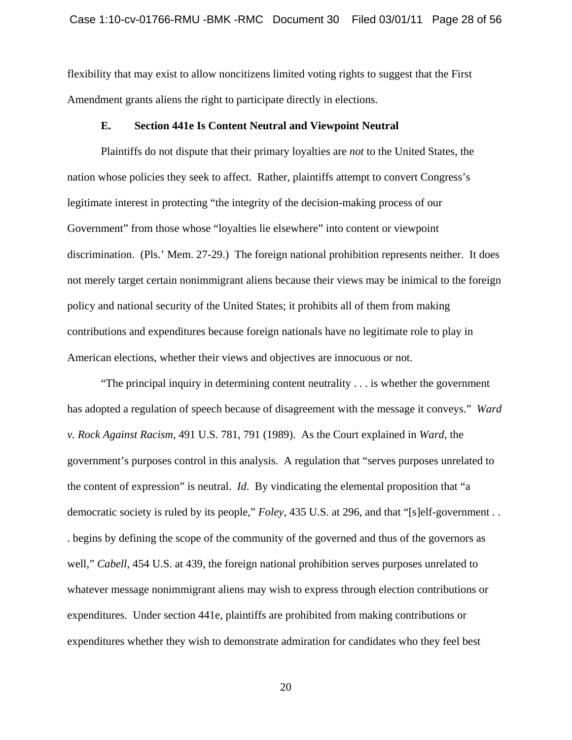flexibility that may exist to allow noncitizens limited voting rights to suggest that the First Amendment grants aliens the right to participate directly in elections.

#### **E. Section 441e Is Content Neutral and Viewpoint Neutral**

Plaintiffs do not dispute that their primary loyalties are *not* to the United States, the nation whose policies they seek to affect. Rather, plaintiffs attempt to convert Congress's legitimate interest in protecting "the integrity of the decision-making process of our Government" from those whose "loyalties lie elsewhere" into content or viewpoint discrimination. (Pls.' Mem. 27-29.) The foreign national prohibition represents neither. It does not merely target certain nonimmigrant aliens because their views may be inimical to the foreign policy and national security of the United States; it prohibits all of them from making contributions and expenditures because foreign nationals have no legitimate role to play in American elections, whether their views and objectives are innocuous or not.

"The principal inquiry in determining content neutrality . . . is whether the government has adopted a regulation of speech because of disagreement with the message it conveys." *Ward v. Rock Against Racism*, 491 U.S. 781, 791 (1989). As the Court explained in *Ward*, the government's purposes control in this analysis. A regulation that "serves purposes unrelated to the content of expression" is neutral. *Id*. By vindicating the elemental proposition that "a democratic society is ruled by its people," *Foley*, 435 U.S. at 296, and that "[s]elf-government . . . begins by defining the scope of the community of the governed and thus of the governors as well," *Cabell*, 454 U.S. at 439, the foreign national prohibition serves purposes unrelated to whatever message nonimmigrant aliens may wish to express through election contributions or expenditures. Under section 441e, plaintiffs are prohibited from making contributions or expenditures whether they wish to demonstrate admiration for candidates who they feel best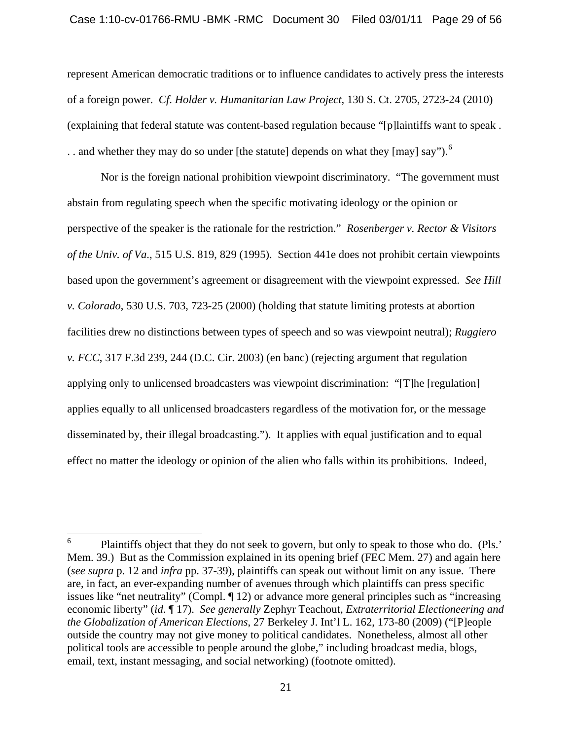represent American democratic traditions or to influence candidates to actively press the interests of a foreign power. *Cf*. *Holder v. Humanitarian Law Project*, 130 S. Ct. 2705, 2723-24 (2010) (explaining that federal statute was content-based regulation because "[p]laintiffs want to speak . . . and whether they may do so under [the statute] depends on what they [may] say").<sup>[6](#page-28-0)</sup>

Nor is the foreign national prohibition viewpoint discriminatory. "The government must abstain from regulating speech when the specific motivating ideology or the opinion or perspective of the speaker is the rationale for the restriction." *Rosenberger v. Rector & Visitors of the Univ. of Va*., 515 U.S. 819, 829 (1995). Section 441e does not prohibit certain viewpoints based upon the government's agreement or disagreement with the viewpoint expressed. *See Hill v. Colorado*, 530 U.S. 703, 723-25 (2000) (holding that statute limiting protests at abortion facilities drew no distinctions between types of speech and so was viewpoint neutral); *Ruggiero v. FCC*, 317 F.3d 239, 244 (D.C. Cir. 2003) (en banc) (rejecting argument that regulation applying only to unlicensed broadcasters was viewpoint discrimination: "[T]he [regulation] applies equally to all unlicensed broadcasters regardless of the motivation for, or the message disseminated by, their illegal broadcasting."). It applies with equal justification and to equal effect no matter the ideology or opinion of the alien who falls within its prohibitions. Indeed,

<span id="page-28-0"></span> 6 Plaintiffs object that they do not seek to govern, but only to speak to those who do. (Pls.' Mem. 39.) But as the Commission explained in its opening brief (FEC Mem. 27) and again here (*see supra* p. 12 and *infra* pp. 37-39), plaintiffs can speak out without limit on any issue. There are, in fact, an ever-expanding number of avenues through which plaintiffs can press specific issues like "net neutrality" (Compl. ¶ 12) or advance more general principles such as "increasing economic liberty" (*id*. ¶ 17). *See generally* Zephyr Teachout, *Extraterritorial Electioneering and the Globalization of American Elections*, 27 Berkeley J. Int'l L. 162, 173-80 (2009) ("[P]eople outside the country may not give money to political candidates. Nonetheless, almost all other political tools are accessible to people around the globe," including broadcast media, blogs, email, text, instant messaging, and social networking) (footnote omitted).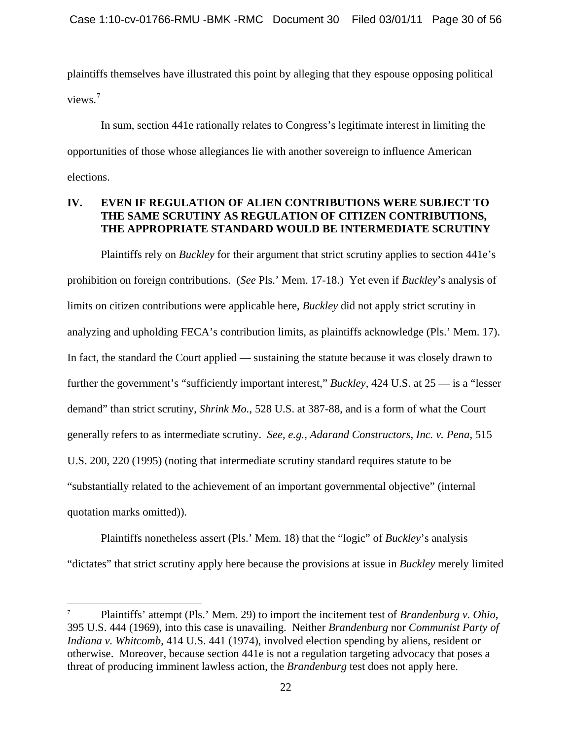plaintiffs themselves have illustrated this point by alleging that they espouse opposing political views.<sup>[7](#page-29-0)</sup>

 In sum, section 441e rationally relates to Congress's legitimate interest in limiting the opportunities of those whose allegiances lie with another sovereign to influence American elections.

# **IV. EVEN IF REGULATION OF ALIEN CONTRIBUTIONS WERE SUBJECT TO THE SAME SCRUTINY AS REGULATION OF CITIZEN CONTRIBUTIONS, THE APPROPRIATE STANDARD WOULD BE INTERMEDIATE SCRUTINY**

Plaintiffs rely on *Buckley* for their argument that strict scrutiny applies to section 441e's prohibition on foreign contributions. (*See* Pls.' Mem. 17-18.) Yet even if *Buckley*'s analysis of limits on citizen contributions were applicable here, *Buckley* did not apply strict scrutiny in analyzing and upholding FECA's contribution limits, as plaintiffs acknowledge (Pls.' Mem. 17). In fact, the standard the Court applied — sustaining the statute because it was closely drawn to further the government's "sufficiently important interest," *Buckley*, 424 U.S. at 25 — is a "lesser demand" than strict scrutiny, *Shrink Mo.*, 528 U.S. at 387-88, and is a form of what the Court generally refers to as intermediate scrutiny. *See, e.g., Adarand Constructors, Inc. v. Pena*, 515 U.S. 200, 220 (1995) (noting that intermediate scrutiny standard requires statute to be "substantially related to the achievement of an important governmental objective" (internal quotation marks omitted)).

Plaintiffs nonetheless assert (Pls.' Mem. 18) that the "logic" of *Buckley*'s analysis "dictates" that strict scrutiny apply here because the provisions at issue in *Buckley* merely limited

 $\overline{a}$ 

<span id="page-29-0"></span><sup>7</sup> Plaintiffs' attempt (Pls.' Mem. 29) to import the incitement test of *Brandenburg v. Ohio*, 395 U.S. 444 (1969), into this case is unavailing. Neither *Brandenburg* nor *Communist Party of Indiana v. Whitcomb*, 414 U.S. 441 (1974), involved election spending by aliens, resident or otherwise. Moreover, because section 441e is not a regulation targeting advocacy that poses a threat of producing imminent lawless action, the *Brandenburg* test does not apply here.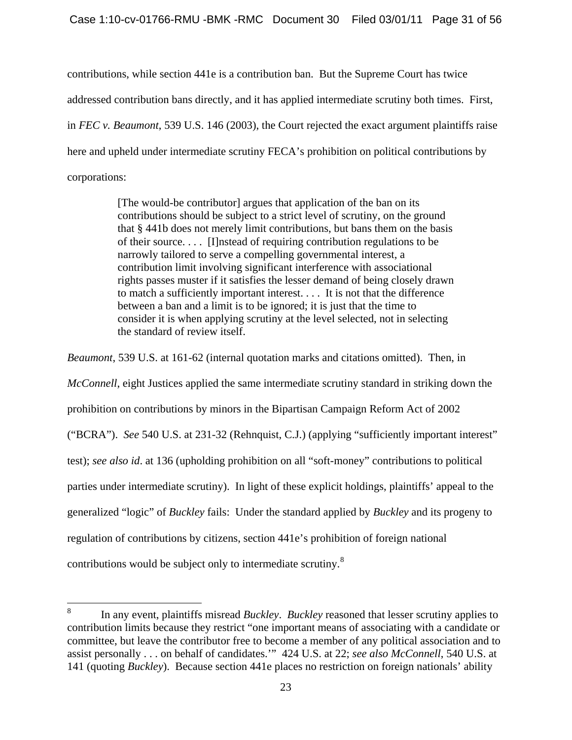contributions, while section 441e is a contribution ban. But the Supreme Court has twice addressed contribution bans directly, and it has applied intermediate scrutiny both times. First, in *FEC v. Beaumont*, 539 U.S. 146 (2003), the Court rejected the exact argument plaintiffs raise here and upheld under intermediate scrutiny FECA's prohibition on political contributions by corporations:

> [The would-be contributor] argues that application of the ban on its contributions should be subject to a strict level of scrutiny, on the ground that § 441b does not merely limit contributions, but bans them on the basis of their source. . . . [I]nstead of requiring contribution regulations to be narrowly tailored to serve a compelling governmental interest, a contribution limit involving significant interference with associational rights passes muster if it satisfies the lesser demand of being closely drawn to match a sufficiently important interest. . . . It is not that the difference between a ban and a limit is to be ignored; it is just that the time to consider it is when applying scrutiny at the level selected, not in selecting the standard of review itself.

*Beaumont*, 539 U.S. at 161-62 (internal quotation marks and citations omitted). Then, in *McConnell*, eight Justices applied the same intermediate scrutiny standard in striking down the prohibition on contributions by minors in the Bipartisan Campaign Reform Act of 2002 ("BCRA"). *See* 540 U.S. at 231-32 (Rehnquist, C.J.) (applying "sufficiently important interest" test); *see also id*. at 136 (upholding prohibition on all "soft-money" contributions to political parties under intermediate scrutiny). In light of these explicit holdings, plaintiffs' appeal to the generalized "logic" of *Buckley* fails: Under the standard applied by *Buckley* and its progeny to regulation of contributions by citizens, section 441e's prohibition of foreign national contributions would be subject only to intermediate scrutiny.<sup>[8](#page-30-0)</sup>

<span id="page-30-0"></span> 8 In any event, plaintiffs misread *Buckley*. *Buckley* reasoned that lesser scrutiny applies to contribution limits because they restrict "one important means of associating with a candidate or committee, but leave the contributor free to become a member of any political association and to assist personally . . . on behalf of candidates.'" 424 U.S. at 22; *see also McConnell*, 540 U.S. at 141 (quoting *Buckley*). Because section 441e places no restriction on foreign nationals' ability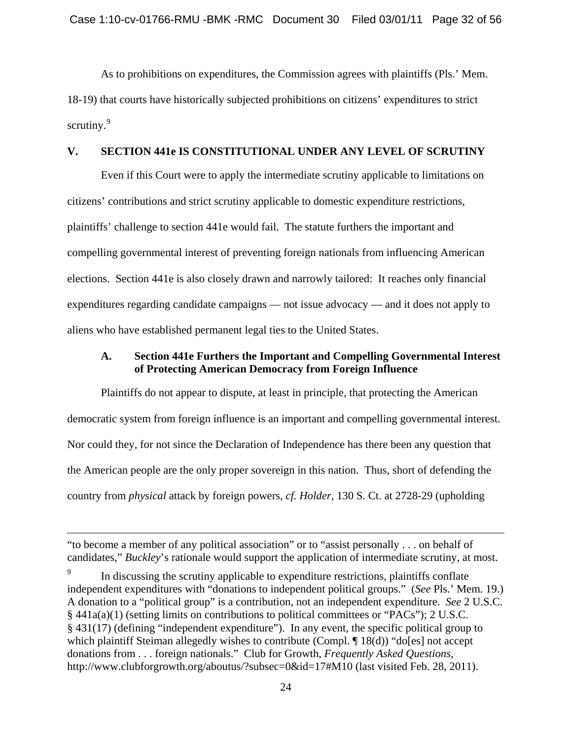As to prohibitions on expenditures, the Commission agrees with plaintiffs (Pls.' Mem. 18-19) that courts have historically subjected prohibitions on citizens' expenditures to strict scrutiny. $9$ 

#### **V. SECTION 441e IS CONSTITUTIONAL UNDER ANY LEVEL OF SCRUTINY**

Even if this Court were to apply the intermediate scrutiny applicable to limitations on citizens' contributions and strict scrutiny applicable to domestic expenditure restrictions, plaintiffs' challenge to section 441e would fail. The statute furthers the important and compelling governmental interest of preventing foreign nationals from influencing American elections. Section 441e is also closely drawn and narrowly tailored: It reaches only financial expenditures regarding candidate campaigns — not issue advocacy — and it does not apply to aliens who have established permanent legal ties to the United States.

# **A. Section 441e Furthers the Important and Compelling Governmental Interest of Protecting American Democracy from Foreign Influence**

Plaintiffs do not appear to dispute, at least in principle, that protecting the American democratic system from foreign influence is an important and compelling governmental interest. Nor could they, for not since the Declaration of Independence has there been any question that the American people are the only proper sovereign in this nation. Thus, short of defending the country from *physical* attack by foreign powers, *cf. Holder*, 130 S. Ct. at 2728-29 (upholding

 $\overline{a}$ 

<sup>&</sup>quot;to become a member of any political association" or to "assist personally . . . on behalf of candidates," *Buckley*'s rationale would support the application of intermediate scrutiny, at most.

<span id="page-31-0"></span><sup>9</sup> In discussing the scrutiny applicable to expenditure restrictions, plaintiffs conflate independent expenditures with "donations to independent political groups." (*See* Pls.' Mem. 19.) A donation to a "political group" is a contribution, not an independent expenditure. *See* 2 U.S.C. § 441a(a)(1) (setting limits on contributions to political committees or "PACs"); 2 U.S.C. § 431(17) (defining "independent expenditure"). In any event, the specific political group to which plaintiff Steiman allegedly wishes to contribute (Compl. ¶ 18(d)) "do[es] not accept donations from . . . foreign nationals." Club for Growth, *Frequently Asked Questions*, http://www.clubforgrowth.org/aboutus/?subsec=0&id=17#M10 (last visited Feb. 28, 2011).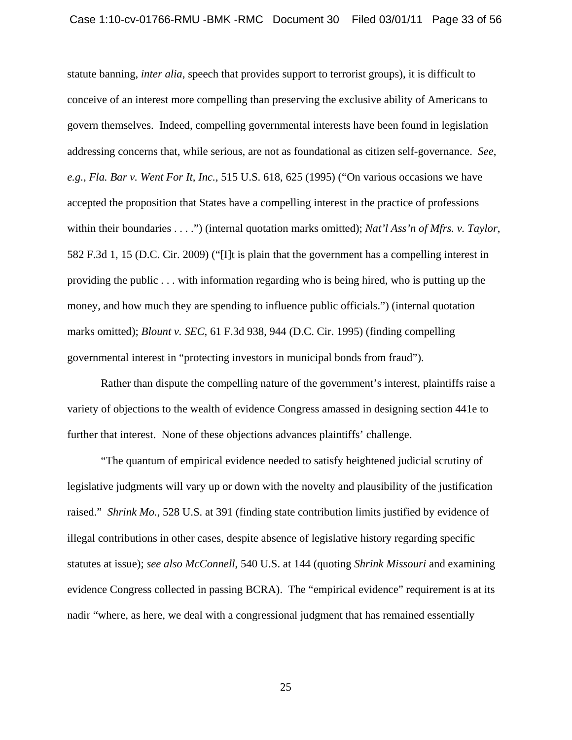statute banning, *inter alia*, speech that provides support to terrorist groups), it is difficult to conceive of an interest more compelling than preserving the exclusive ability of Americans to govern themselves. Indeed, compelling governmental interests have been found in legislation addressing concerns that, while serious, are not as foundational as citizen self-governance. *See*, *e.g.*, *Fla. Bar v. Went For It, Inc.*, 515 U.S. 618, 625 (1995) ("On various occasions we have accepted the proposition that States have a compelling interest in the practice of professions within their boundaries . . . .") (internal quotation marks omitted); *Nat'l Ass'n of Mfrs. v. Taylor*, 582 F.3d 1, 15 (D.C. Cir. 2009) ("[I]t is plain that the government has a compelling interest in providing the public . . . with information regarding who is being hired, who is putting up the money, and how much they are spending to influence public officials.") (internal quotation marks omitted); *Blount v. SEC*, 61 F.3d 938, 944 (D.C. Cir. 1995) (finding compelling governmental interest in "protecting investors in municipal bonds from fraud").

Rather than dispute the compelling nature of the government's interest, plaintiffs raise a variety of objections to the wealth of evidence Congress amassed in designing section 441e to further that interest. None of these objections advances plaintiffs' challenge.

"The quantum of empirical evidence needed to satisfy heightened judicial scrutiny of legislative judgments will vary up or down with the novelty and plausibility of the justification raised." *Shrink Mo.*, 528 U.S. at 391 (finding state contribution limits justified by evidence of illegal contributions in other cases, despite absence of legislative history regarding specific statutes at issue); *see also McConnell*, 540 U.S. at 144 (quoting *Shrink Missouri* and examining evidence Congress collected in passing BCRA). The "empirical evidence" requirement is at its nadir "where, as here, we deal with a congressional judgment that has remained essentially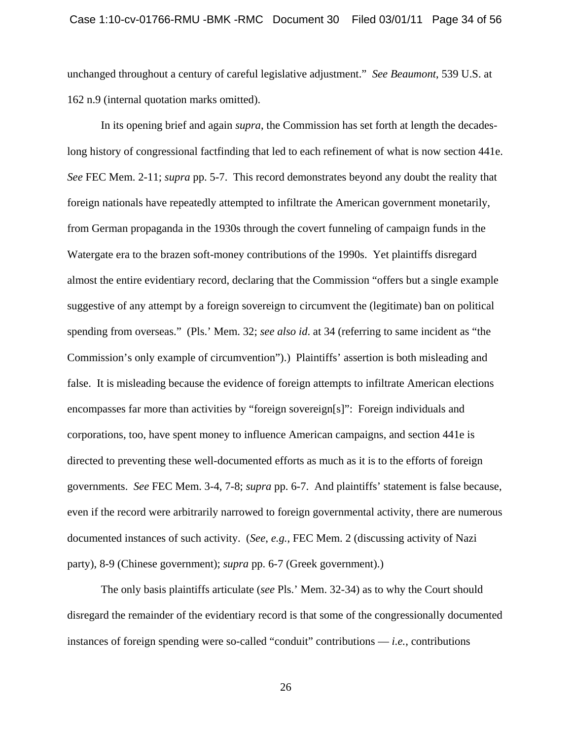unchanged throughout a century of careful legislative adjustment." *See Beaumont*, 539 U.S. at 162 n.9 (internal quotation marks omitted).

In its opening brief and again *supra*, the Commission has set forth at length the decadeslong history of congressional factfinding that led to each refinement of what is now section 441e. *See* FEC Mem. 2-11; *supra* pp. 5-7. This record demonstrates beyond any doubt the reality that foreign nationals have repeatedly attempted to infiltrate the American government monetarily, from German propaganda in the 1930s through the covert funneling of campaign funds in the Watergate era to the brazen soft-money contributions of the 1990s. Yet plaintiffs disregard almost the entire evidentiary record, declaring that the Commission "offers but a single example suggestive of any attempt by a foreign sovereign to circumvent the (legitimate) ban on political spending from overseas." (Pls.' Mem. 32; *see also id*. at 34 (referring to same incident as "the Commission's only example of circumvention").) Plaintiffs' assertion is both misleading and false. It is misleading because the evidence of foreign attempts to infiltrate American elections encompasses far more than activities by "foreign sovereign[s]": Foreign individuals and corporations, too, have spent money to influence American campaigns, and section 441e is directed to preventing these well-documented efforts as much as it is to the efforts of foreign governments. *See* FEC Mem. 3-4, 7-8; *supra* pp. 6-7. And plaintiffs' statement is false because, even if the record were arbitrarily narrowed to foreign governmental activity, there are numerous documented instances of such activity. (*See*, *e.g.*, FEC Mem. 2 (discussing activity of Nazi party), 8-9 (Chinese government); *supra* pp. 6-7 (Greek government).)

The only basis plaintiffs articulate (*see* Pls.' Mem. 32-34) as to why the Court should disregard the remainder of the evidentiary record is that some of the congressionally documented instances of foreign spending were so-called "conduit" contributions — *i.e.*, contributions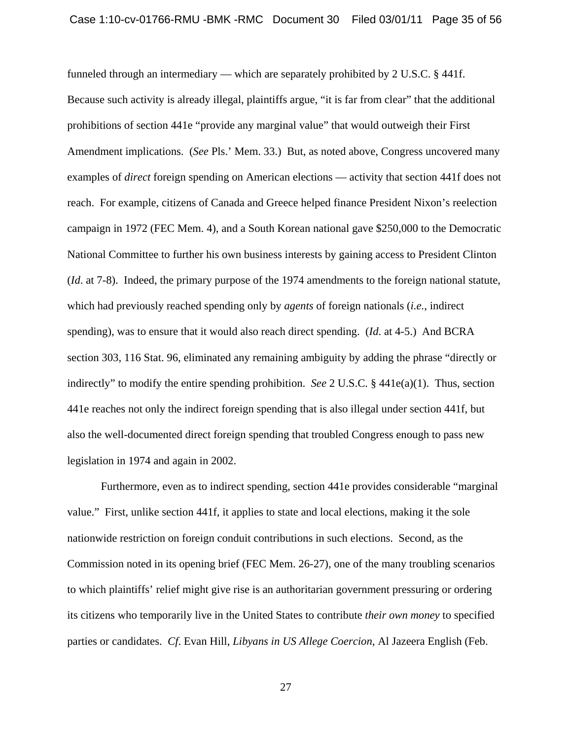funneled through an intermediary — which are separately prohibited by 2 U.S.C. § 441f. Because such activity is already illegal, plaintiffs argue, "it is far from clear" that the additional prohibitions of section 441e "provide any marginal value" that would outweigh their First Amendment implications. (*See* Pls.' Mem. 33.) But, as noted above, Congress uncovered many examples of *direct* foreign spending on American elections — activity that section 441f does not reach. For example, citizens of Canada and Greece helped finance President Nixon's reelection campaign in 1972 (FEC Mem. 4), and a South Korean national gave \$250,000 to the Democratic National Committee to further his own business interests by gaining access to President Clinton (*Id*. at 7-8). Indeed, the primary purpose of the 1974 amendments to the foreign national statute, which had previously reached spending only by *agents* of foreign nationals (*i.e.*, indirect spending), was to ensure that it would also reach direct spending. (*Id*. at 4-5.) And BCRA section 303, 116 Stat. 96, eliminated any remaining ambiguity by adding the phrase "directly or indirectly" to modify the entire spending prohibition. *See* 2 U.S.C. § 441e(a)(1). Thus, section 441e reaches not only the indirect foreign spending that is also illegal under section 441f, but also the well-documented direct foreign spending that troubled Congress enough to pass new legislation in 1974 and again in 2002.

Furthermore, even as to indirect spending, section 441e provides considerable "marginal value." First, unlike section 441f, it applies to state and local elections, making it the sole nationwide restriction on foreign conduit contributions in such elections. Second, as the Commission noted in its opening brief (FEC Mem. 26-27), one of the many troubling scenarios to which plaintiffs' relief might give rise is an authoritarian government pressuring or ordering its citizens who temporarily live in the United States to contribute *their own money* to specified parties or candidates. *Cf*. Evan Hill, *Libyans in US Allege Coercion*, Al Jazeera English (Feb.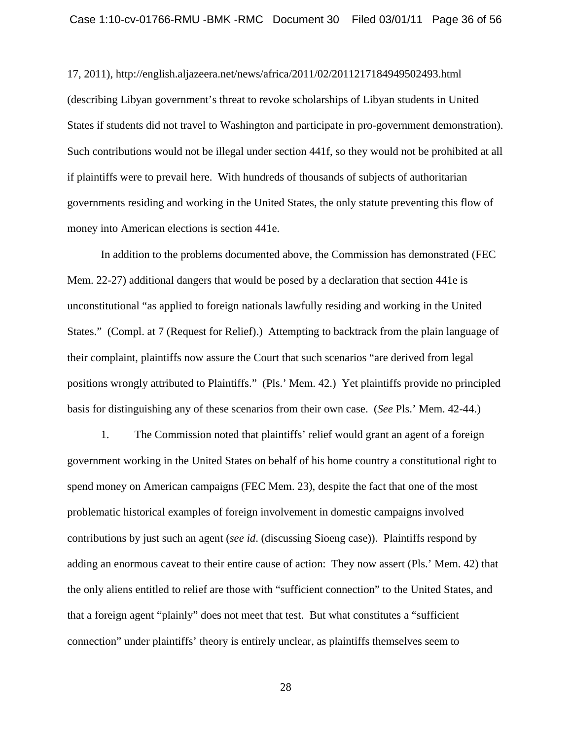17, 2011), http://english.aljazeera.net/news/africa/2011/02/2011217184949502493.html (describing Libyan government's threat to revoke scholarships of Libyan students in United States if students did not travel to Washington and participate in pro-government demonstration). Such contributions would not be illegal under section 441f, so they would not be prohibited at all if plaintiffs were to prevail here. With hundreds of thousands of subjects of authoritarian governments residing and working in the United States, the only statute preventing this flow of money into American elections is section 441e.

In addition to the problems documented above, the Commission has demonstrated (FEC Mem. 22-27) additional dangers that would be posed by a declaration that section 441e is unconstitutional "as applied to foreign nationals lawfully residing and working in the United States." (Compl. at 7 (Request for Relief).) Attempting to backtrack from the plain language of their complaint, plaintiffs now assure the Court that such scenarios "are derived from legal positions wrongly attributed to Plaintiffs." (Pls.' Mem. 42.) Yet plaintiffs provide no principled basis for distinguishing any of these scenarios from their own case. (*See* Pls.' Mem. 42-44.)

1. The Commission noted that plaintiffs' relief would grant an agent of a foreign government working in the United States on behalf of his home country a constitutional right to spend money on American campaigns (FEC Mem. 23), despite the fact that one of the most problematic historical examples of foreign involvement in domestic campaigns involved contributions by just such an agent (*see id*. (discussing Sioeng case)). Plaintiffs respond by adding an enormous caveat to their entire cause of action: They now assert (Pls.' Mem. 42) that the only aliens entitled to relief are those with "sufficient connection" to the United States, and that a foreign agent "plainly" does not meet that test. But what constitutes a "sufficient connection" under plaintiffs' theory is entirely unclear, as plaintiffs themselves seem to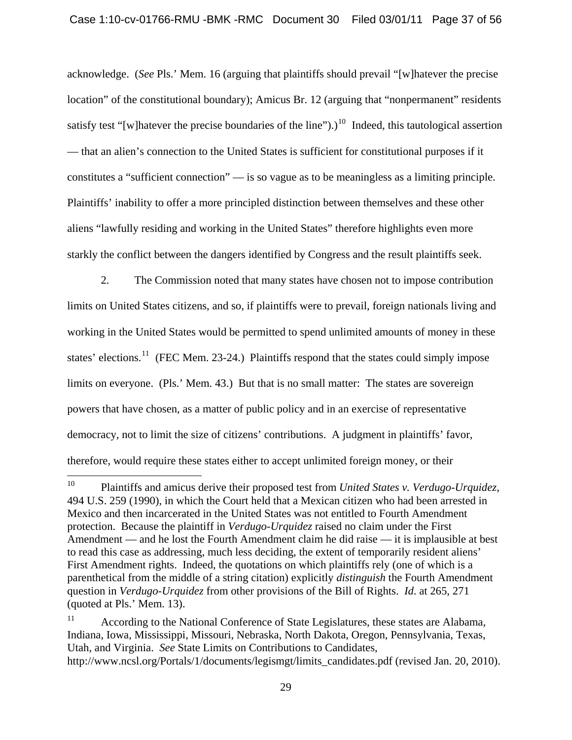acknowledge. (*See* Pls.' Mem. 16 (arguing that plaintiffs should prevail "[w]hatever the precise location" of the constitutional boundary); Amicus Br. 12 (arguing that "nonpermanent" residents satisfy test "[w]hatever the precise boundaries of the line").)<sup>[10](#page-36-0)</sup> Indeed, this tautological assertion — that an alien's connection to the United States is sufficient for constitutional purposes if it constitutes a "sufficient connection" — is so vague as to be meaningless as a limiting principle. Plaintiffs' inability to offer a more principled distinction between themselves and these other aliens "lawfully residing and working in the United States" therefore highlights even more starkly the conflict between the dangers identified by Congress and the result plaintiffs seek.

2. The Commission noted that many states have chosen not to impose contribution limits on United States citizens, and so, if plaintiffs were to prevail, foreign nationals living and working in the United States would be permitted to spend unlimited amounts of money in these states' elections.<sup>[11](#page-36-1)</sup> (FEC Mem. 23-24.) Plaintiffs respond that the states could simply impose limits on everyone. (Pls.' Mem. 43.) But that is no small matter: The states are sovereign powers that have chosen, as a matter of public policy and in an exercise of representative democracy, not to limit the size of citizens' contributions. A judgment in plaintiffs' favor, therefore, would require these states either to accept unlimited foreign money, or their

<span id="page-36-0"></span> $10\,$ 10 Plaintiffs and amicus derive their proposed test from *United States v. Verdugo-Urquidez*, 494 U.S. 259 (1990), in which the Court held that a Mexican citizen who had been arrested in Mexico and then incarcerated in the United States was not entitled to Fourth Amendment protection. Because the plaintiff in *Verdugo-Urquidez* raised no claim under the First Amendment — and he lost the Fourth Amendment claim he did raise — it is implausible at best to read this case as addressing, much less deciding, the extent of temporarily resident aliens' First Amendment rights. Indeed, the quotations on which plaintiffs rely (one of which is a parenthetical from the middle of a string citation) explicitly *distinguish* the Fourth Amendment question in *Verdugo-Urquidez* from other provisions of the Bill of Rights. *Id*. at 265, 271 (quoted at Pls.' Mem. 13).

<span id="page-36-1"></span><sup>&</sup>lt;sup>11</sup> According to the National Conference of State Legislatures, these states are Alabama, Indiana, Iowa, Mississippi, Missouri, Nebraska, North Dakota, Oregon, Pennsylvania, Texas, Utah, and Virginia. *See* State Limits on Contributions to Candidates, http://www.ncsl.org/Portals/1/documents/legismgt/limits\_candidates.pdf (revised Jan. 20, 2010).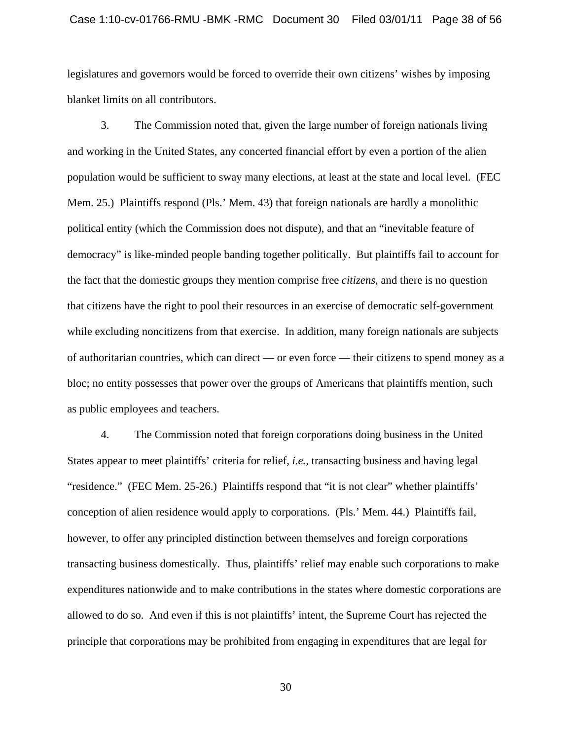#### Case 1:10-cv-01766-RMU -BMK -RMC Document 30 Filed 03/01/11 Page 38 of 56

legislatures and governors would be forced to override their own citizens' wishes by imposing blanket limits on all contributors.

3. The Commission noted that, given the large number of foreign nationals living and working in the United States, any concerted financial effort by even a portion of the alien population would be sufficient to sway many elections, at least at the state and local level. (FEC Mem. 25.) Plaintiffs respond (Pls.' Mem. 43) that foreign nationals are hardly a monolithic political entity (which the Commission does not dispute), and that an "inevitable feature of democracy" is like-minded people banding together politically. But plaintiffs fail to account for the fact that the domestic groups they mention comprise free *citizens*, and there is no question that citizens have the right to pool their resources in an exercise of democratic self-government while excluding noncitizens from that exercise. In addition, many foreign nationals are subjects of authoritarian countries, which can direct — or even force — their citizens to spend money as a bloc; no entity possesses that power over the groups of Americans that plaintiffs mention, such as public employees and teachers.

4. The Commission noted that foreign corporations doing business in the United States appear to meet plaintiffs' criteria for relief, *i.e.*, transacting business and having legal "residence." (FEC Mem. 25-26.) Plaintiffs respond that "it is not clear" whether plaintiffs' conception of alien residence would apply to corporations. (Pls.' Mem. 44.) Plaintiffs fail, however, to offer any principled distinction between themselves and foreign corporations transacting business domestically. Thus, plaintiffs' relief may enable such corporations to make expenditures nationwide and to make contributions in the states where domestic corporations are allowed to do so. And even if this is not plaintiffs' intent, the Supreme Court has rejected the principle that corporations may be prohibited from engaging in expenditures that are legal for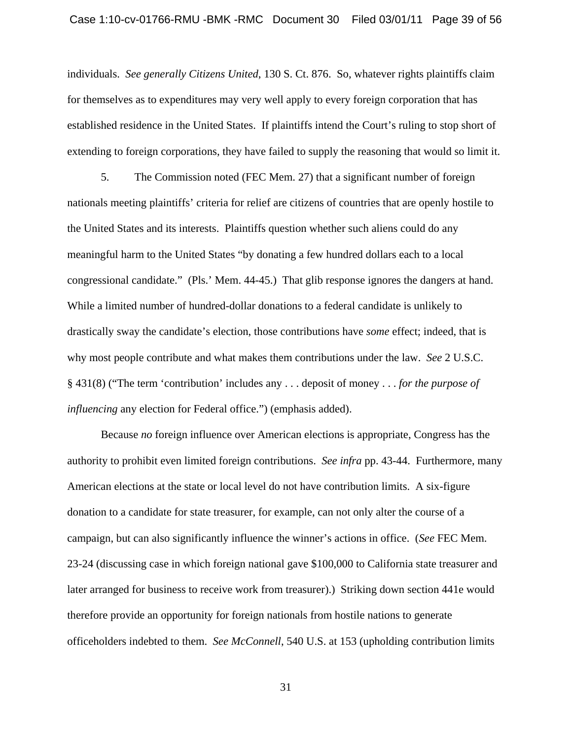#### Case 1:10-cv-01766-RMU -BMK -RMC Document 30 Filed 03/01/11 Page 39 of 56

individuals. *See generally Citizens United*, 130 S. Ct. 876. So, whatever rights plaintiffs claim for themselves as to expenditures may very well apply to every foreign corporation that has established residence in the United States. If plaintiffs intend the Court's ruling to stop short of extending to foreign corporations, they have failed to supply the reasoning that would so limit it.

5. The Commission noted (FEC Mem. 27) that a significant number of foreign nationals meeting plaintiffs' criteria for relief are citizens of countries that are openly hostile to the United States and its interests. Plaintiffs question whether such aliens could do any meaningful harm to the United States "by donating a few hundred dollars each to a local congressional candidate." (Pls.' Mem. 44-45.) That glib response ignores the dangers at hand. While a limited number of hundred-dollar donations to a federal candidate is unlikely to drastically sway the candidate's election, those contributions have *some* effect; indeed, that is why most people contribute and what makes them contributions under the law. *See* 2 U.S.C. § 431(8) ("The term 'contribution' includes any . . . deposit of money . . . *for the purpose of influencing* any election for Federal office.") (emphasis added).

Because *no* foreign influence over American elections is appropriate, Congress has the authority to prohibit even limited foreign contributions. *See infra* pp. 43-44. Furthermore, many American elections at the state or local level do not have contribution limits. A six-figure donation to a candidate for state treasurer, for example, can not only alter the course of a campaign, but can also significantly influence the winner's actions in office. (*See* FEC Mem. 23-24 (discussing case in which foreign national gave \$100,000 to California state treasurer and later arranged for business to receive work from treasurer).) Striking down section 441e would therefore provide an opportunity for foreign nationals from hostile nations to generate officeholders indebted to them. *See McConnell*, 540 U.S. at 153 (upholding contribution limits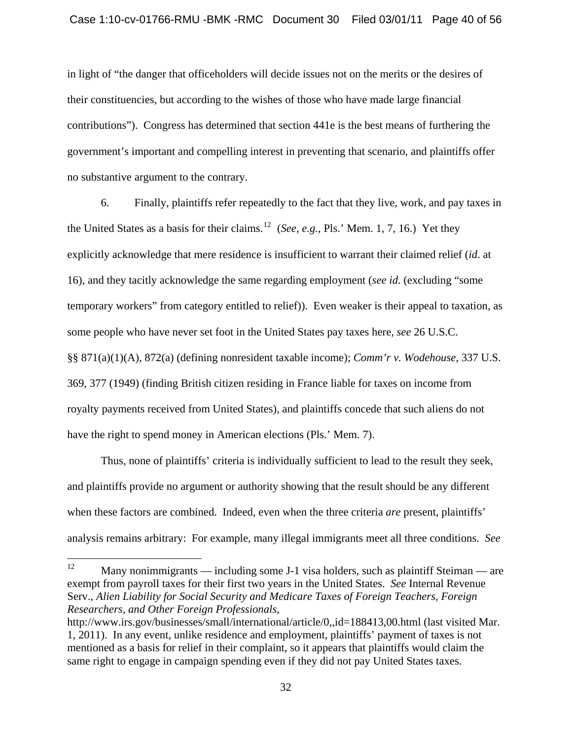in light of "the danger that officeholders will decide issues not on the merits or the desires of their constituencies, but according to the wishes of those who have made large financial contributions"). Congress has determined that section 441e is the best means of furthering the government's important and compelling interest in preventing that scenario, and plaintiffs offer no substantive argument to the contrary.

6. Finally, plaintiffs refer repeatedly to the fact that they live, work, and pay taxes in the United States as a basis for their claims.[12](#page-39-0) (*See*, *e.g.*, Pls.' Mem. 1, 7, 16.) Yet they explicitly acknowledge that mere residence is insufficient to warrant their claimed relief (*id*. at 16), and they tacitly acknowledge the same regarding employment (*see id*. (excluding "some temporary workers" from category entitled to relief)). Even weaker is their appeal to taxation, as some people who have never set foot in the United States pay taxes here, *see* 26 U.S.C. §§ 871(a)(1)(A), 872(a) (defining nonresident taxable income); *Comm'r v. Wodehouse*, 337 U.S. 369, 377 (1949) (finding British citizen residing in France liable for taxes on income from royalty payments received from United States), and plaintiffs concede that such aliens do not have the right to spend money in American elections (Pls.' Mem. 7).

Thus, none of plaintiffs' criteria is individually sufficient to lead to the result they seek, and plaintiffs provide no argument or authority showing that the result should be any different when these factors are combined. Indeed, even when the three criteria *are* present, plaintiffs' analysis remains arbitrary: For example, many illegal immigrants meet all three conditions. *See*

<span id="page-39-0"></span><sup>12</sup> Many nonimmigrants — including some J-1 visa holders, such as plaintiff Steiman — are exempt from payroll taxes for their first two years in the United States. *See* Internal Revenue Serv., *Alien Liability for Social Security and Medicare Taxes of Foreign Teachers, Foreign Researchers, and Other Foreign Professionals*,

http://www.irs.gov/businesses/small/international/article/0,,id=188413,00.html (last visited Mar. 1, 2011). In any event, unlike residence and employment, plaintiffs' payment of taxes is not mentioned as a basis for relief in their complaint, so it appears that plaintiffs would claim the same right to engage in campaign spending even if they did not pay United States taxes.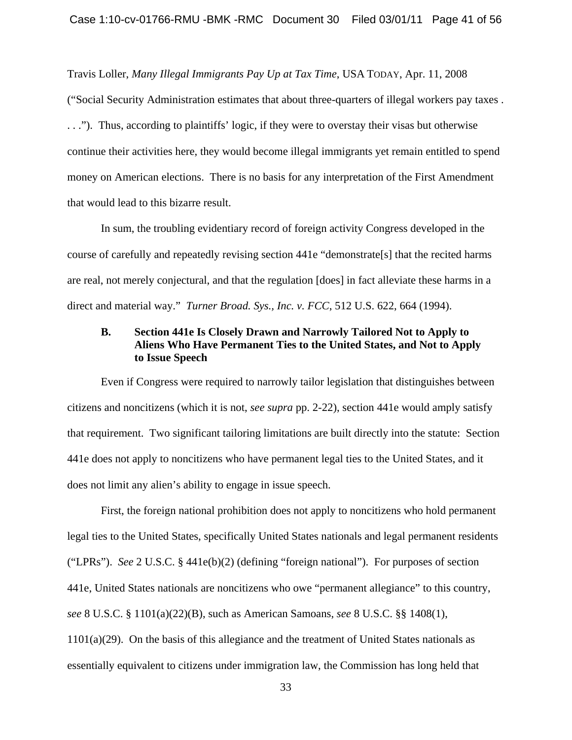Travis Loller, *Many Illegal Immigrants Pay Up at Tax Time*, USA TODAY, Apr. 11, 2008 ("Social Security Administration estimates that about three-quarters of illegal workers pay taxes . . . ."). Thus, according to plaintiffs' logic, if they were to overstay their visas but otherwise continue their activities here, they would become illegal immigrants yet remain entitled to spend money on American elections. There is no basis for any interpretation of the First Amendment that would lead to this bizarre result.

In sum, the troubling evidentiary record of foreign activity Congress developed in the course of carefully and repeatedly revising section 441e "demonstrate[s] that the recited harms are real, not merely conjectural, and that the regulation [does] in fact alleviate these harms in a direct and material way." *Turner Broad. Sys., Inc. v. FCC*, 512 U.S. 622, 664 (1994).

## **B. Section 441e Is Closely Drawn and Narrowly Tailored Not to Apply to Aliens Who Have Permanent Ties to the United States, and Not to Apply to Issue Speech**

Even if Congress were required to narrowly tailor legislation that distinguishes between citizens and noncitizens (which it is not, *see supra* pp. 2-22), section 441e would amply satisfy that requirement. Two significant tailoring limitations are built directly into the statute: Section 441e does not apply to noncitizens who have permanent legal ties to the United States, and it does not limit any alien's ability to engage in issue speech.

First, the foreign national prohibition does not apply to noncitizens who hold permanent legal ties to the United States, specifically United States nationals and legal permanent residents ("LPRs"). *See* 2 U.S.C. § 441e(b)(2) (defining "foreign national"). For purposes of section 441e, United States nationals are noncitizens who owe "permanent allegiance" to this country, *see* 8 U.S.C. § 1101(a)(22)(B), such as American Samoans, *see* 8 U.S.C. §§ 1408(1),  $1101(a)(29)$ . On the basis of this allegiance and the treatment of United States nationals as essentially equivalent to citizens under immigration law, the Commission has long held that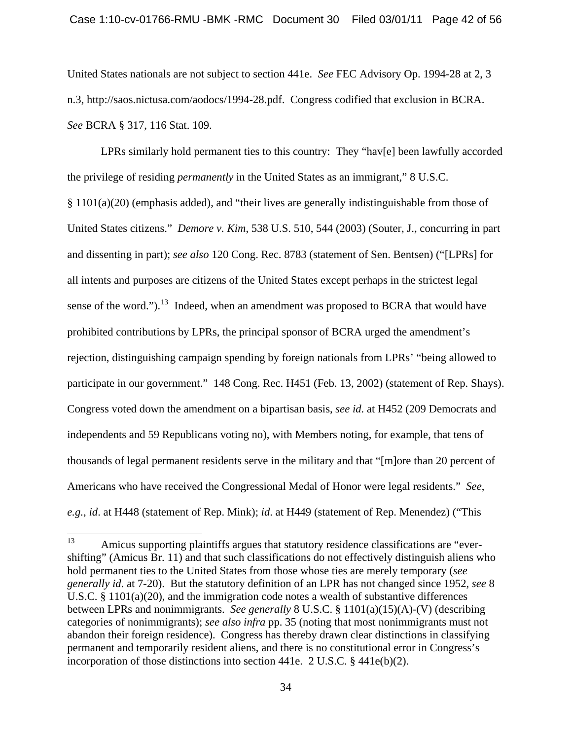United States nationals are not subject to section 441e. *See* FEC Advisory Op. 1994-28 at 2, 3 n.3, http://saos.nictusa.com/aodocs/1994-28.pdf. Congress codified that exclusion in BCRA. *See* BCRA § 317, 116 Stat. 109.

LPRs similarly hold permanent ties to this country: They "hav[e] been lawfully accorded the privilege of residing *permanently* in the United States as an immigrant," 8 U.S.C. § 1101(a)(20) (emphasis added), and "their lives are generally indistinguishable from those of United States citizens." *Demore v. Kim*, 538 U.S. 510, 544 (2003) (Souter, J., concurring in part and dissenting in part); *see also* 120 Cong. Rec. 8783 (statement of Sen. Bentsen) ("[LPRs] for all intents and purposes are citizens of the United States except perhaps in the strictest legal sense of the word.").<sup>[13](#page-41-0)</sup> Indeed, when an amendment was proposed to BCRA that would have prohibited contributions by LPRs, the principal sponsor of BCRA urged the amendment's rejection, distinguishing campaign spending by foreign nationals from LPRs' "being allowed to participate in our government." 148 Cong. Rec. H451 (Feb. 13, 2002) (statement of Rep. Shays). Congress voted down the amendment on a bipartisan basis, *see id*. at H452 (209 Democrats and independents and 59 Republicans voting no), with Members noting, for example, that tens of thousands of legal permanent residents serve in the military and that "[m]ore than 20 percent of Americans who have received the Congressional Medal of Honor were legal residents." *See*, *e.g.*, *id*. at H448 (statement of Rep. Mink); *id*. at H449 (statement of Rep. Menendez) ("This

<span id="page-41-0"></span><sup>13</sup> Amicus supporting plaintiffs argues that statutory residence classifications are "evershifting" (Amicus Br. 11) and that such classifications do not effectively distinguish aliens who hold permanent ties to the United States from those whose ties are merely temporary (*see generally id*. at 7-20). But the statutory definition of an LPR has not changed since 1952, *see* 8 U.S.C. § 1101(a)(20), and the immigration code notes a wealth of substantive differences between LPRs and nonimmigrants. *See generally* 8 U.S.C. § 1101(a)(15)(A)-(V) (describing categories of nonimmigrants); *see also infra* pp. 35 (noting that most nonimmigrants must not abandon their foreign residence). Congress has thereby drawn clear distinctions in classifying permanent and temporarily resident aliens, and there is no constitutional error in Congress's incorporation of those distinctions into section 441e. 2 U.S.C. § 441e(b)(2).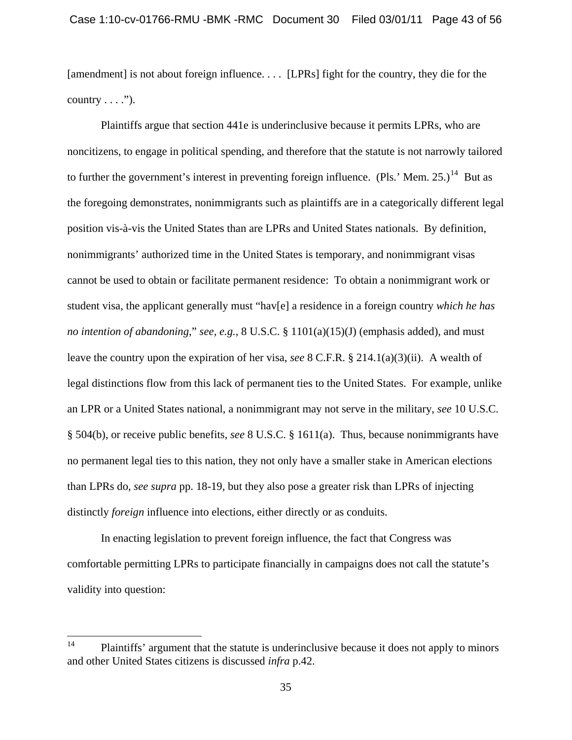[amendment] is not about foreign influence. . . . [LPRs] fight for the country, they die for the country  $\dots$ .").

Plaintiffs argue that section 441e is underinclusive because it permits LPRs, who are noncitizens, to engage in political spending, and therefore that the statute is not narrowly tailored to further the government's interest in preventing foreign influence. (Pls.' Mem. 25.)<sup>[14](#page-42-0)</sup> But as the foregoing demonstrates, nonimmigrants such as plaintiffs are in a categorically different legal position vis-à-vis the United States than are LPRs and United States nationals. By definition, nonimmigrants' authorized time in the United States is temporary, and nonimmigrant visas cannot be used to obtain or facilitate permanent residence: To obtain a nonimmigrant work or student visa, the applicant generally must "hav[e] a residence in a foreign country *which he has no intention of abandoning*," *see*, *e.g.*, 8 U.S.C. § 1101(a)(15)(J) (emphasis added), and must leave the country upon the expiration of her visa, *see* 8 C.F.R. § 214.1(a)(3)(ii). A wealth of legal distinctions flow from this lack of permanent ties to the United States. For example, unlike an LPR or a United States national, a nonimmigrant may not serve in the military, *see* 10 U.S.C. § 504(b), or receive public benefits, *see* 8 U.S.C. § 1611(a). Thus, because nonimmigrants have no permanent legal ties to this nation, they not only have a smaller stake in American elections than LPRs do, *see supra* pp. 18-19, but they also pose a greater risk than LPRs of injecting distinctly *foreign* influence into elections, either directly or as conduits.

In enacting legislation to prevent foreign influence, the fact that Congress was comfortable permitting LPRs to participate financially in campaigns does not call the statute's validity into question:

<span id="page-42-0"></span> $14$ Plaintiffs' argument that the statute is underinclusive because it does not apply to minors and other United States citizens is discussed *infra* p.42.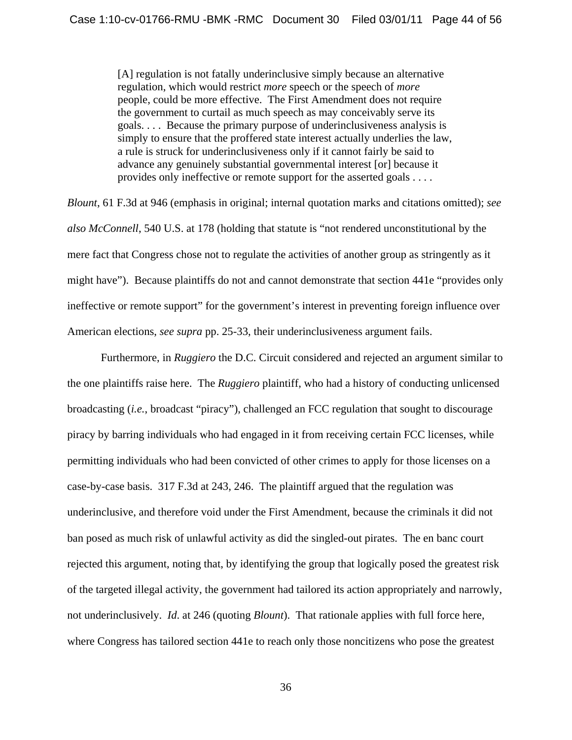[A] regulation is not fatally underinclusive simply because an alternative regulation, which would restrict *more* speech or the speech of *more* people, could be more effective. The First Amendment does not require the government to curtail as much speech as may conceivably serve its goals. . . . Because the primary purpose of underinclusiveness analysis is simply to ensure that the proffered state interest actually underlies the law, a rule is struck for underinclusiveness only if it cannot fairly be said to advance any genuinely substantial governmental interest [or] because it provides only ineffective or remote support for the asserted goals . . . .

*Blount*, 61 F.3d at 946 (emphasis in original; internal quotation marks and citations omitted); *see also McConnell*, 540 U.S. at 178 (holding that statute is "not rendered unconstitutional by the mere fact that Congress chose not to regulate the activities of another group as stringently as it might have"). Because plaintiffs do not and cannot demonstrate that section 441e "provides only ineffective or remote support" for the government's interest in preventing foreign influence over American elections, *see supra* pp. 25-33, their underinclusiveness argument fails.

Furthermore, in *Ruggiero* the D.C. Circuit considered and rejected an argument similar to the one plaintiffs raise here. The *Ruggiero* plaintiff, who had a history of conducting unlicensed broadcasting (*i.e.*, broadcast "piracy"), challenged an FCC regulation that sought to discourage piracy by barring individuals who had engaged in it from receiving certain FCC licenses, while permitting individuals who had been convicted of other crimes to apply for those licenses on a case-by-case basis. 317 F.3d at 243, 246. The plaintiff argued that the regulation was underinclusive, and therefore void under the First Amendment, because the criminals it did not ban posed as much risk of unlawful activity as did the singled-out pirates. The en banc court rejected this argument, noting that, by identifying the group that logically posed the greatest risk of the targeted illegal activity, the government had tailored its action appropriately and narrowly, not underinclusively. *Id*. at 246 (quoting *Blount*). That rationale applies with full force here, where Congress has tailored section 441e to reach only those noncitizens who pose the greatest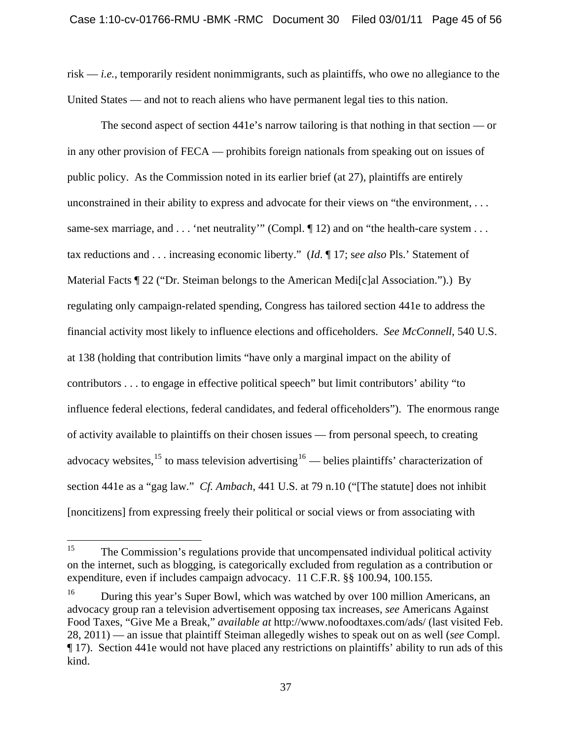risk — *i.e.*, temporarily resident nonimmigrants, such as plaintiffs, who owe no allegiance to the United States — and not to reach aliens who have permanent legal ties to this nation.

The second aspect of section 441e's narrow tailoring is that nothing in that section — or in any other provision of FECA — prohibits foreign nationals from speaking out on issues of public policy. As the Commission noted in its earlier brief (at 27), plaintiffs are entirely unconstrained in their ability to express and advocate for their views on "the environment, . . . same-sex marriage, and . . . 'net neutrality'" (Compl.  $\P$  12) and on "the health-care system . . . tax reductions and . . . increasing economic liberty." (*Id*. ¶ 17; s*ee also* Pls.' Statement of Material Facts ¶ 22 ("Dr. Steiman belongs to the American Medi[c]al Association.").) By regulating only campaign-related spending, Congress has tailored section 441e to address the financial activity most likely to influence elections and officeholders. *See McConnell*, 540 U.S. at 138 (holding that contribution limits "have only a marginal impact on the ability of contributors . . . to engage in effective political speech" but limit contributors' ability "to influence federal elections, federal candidates, and federal officeholders"). The enormous range of activity available to plaintiffs on their chosen issues — from personal speech, to creating advocacy websites,<sup>[15](#page-44-0)</sup> to mass television advertising<sup>[16](#page-44-1)</sup> — belies plaintiffs' characterization of section 441e as a "gag law." *Cf. Ambach*, 441 U.S. at 79 n.10 ("[The statute] does not inhibit [noncitizens] from expressing freely their political or social views or from associating with

<span id="page-44-0"></span><sup>15</sup> 15 The Commission's regulations provide that uncompensated individual political activity on the internet, such as blogging, is categorically excluded from regulation as a contribution or expenditure, even if includes campaign advocacy. 11 C.F.R. §§ 100.94, 100.155.

<span id="page-44-1"></span><sup>&</sup>lt;sup>16</sup> During this year's Super Bowl, which was watched by over 100 million Americans, an advocacy group ran a television advertisement opposing tax increases, *see* Americans Against Food Taxes, "Give Me a Break," *available at* http://www.nofoodtaxes.com/ads/ (last visited Feb. 28, 2011) — an issue that plaintiff Steiman allegedly wishes to speak out on as well (*see* Compl. ¶ 17). Section 441e would not have placed any restrictions on plaintiffs' ability to run ads of this kind.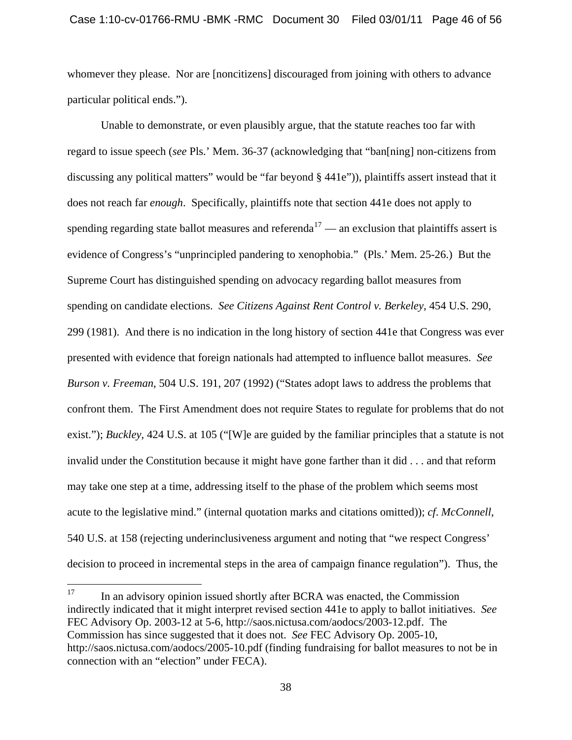whomever they please. Nor are [noncitizens] discouraged from joining with others to advance particular political ends.").

Unable to demonstrate, or even plausibly argue, that the statute reaches too far with regard to issue speech (*see* Pls.' Mem. 36-37 (acknowledging that "ban[ning] non-citizens from discussing any political matters" would be "far beyond § 441e")), plaintiffs assert instead that it does not reach far *enough*. Specifically, plaintiffs note that section 441e does not apply to spending regarding state ballot measures and referenda<sup>[17](#page-45-0)</sup> — an exclusion that plaintiffs assert is evidence of Congress's "unprincipled pandering to xenophobia." (Pls.' Mem. 25-26.) But the Supreme Court has distinguished spending on advocacy regarding ballot measures from spending on candidate elections. *See Citizens Against Rent Control v. Berkeley*, 454 U.S. 290, 299 (1981). And there is no indication in the long history of section 441e that Congress was ever presented with evidence that foreign nationals had attempted to influence ballot measures. *See Burson v. Freeman*, 504 U.S. 191, 207 (1992) ("States adopt laws to address the problems that confront them. The First Amendment does not require States to regulate for problems that do not exist."); *Buckley*, 424 U.S. at 105 ("[W]e are guided by the familiar principles that a statute is not invalid under the Constitution because it might have gone farther than it did . . . and that reform may take one step at a time, addressing itself to the phase of the problem which seems most acute to the legislative mind." (internal quotation marks and citations omitted)); *cf*. *McConnell*, 540 U.S. at 158 (rejecting underinclusiveness argument and noting that "we respect Congress' decision to proceed in incremental steps in the area of campaign finance regulation"). Thus, the

<span id="page-45-0"></span><sup>17</sup> 17 In an advisory opinion issued shortly after BCRA was enacted, the Commission indirectly indicated that it might interpret revised section 441e to apply to ballot initiatives. *See* FEC Advisory Op. 2003-12 at 5-6, http://saos.nictusa.com/aodocs/2003-12.pdf. The Commission has since suggested that it does not. *See* FEC Advisory Op. 2005-10, http://saos.nictusa.com/aodocs/2005-10.pdf (finding fundraising for ballot measures to not be in connection with an "election" under FECA).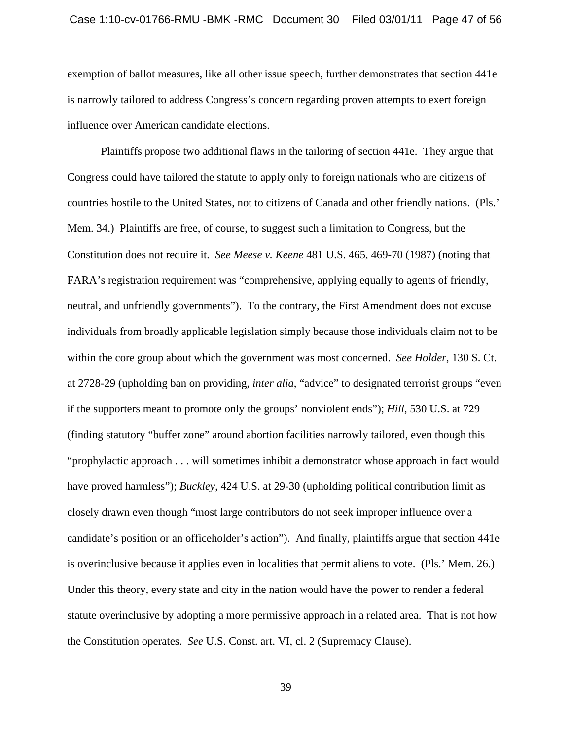exemption of ballot measures, like all other issue speech, further demonstrates that section 441e is narrowly tailored to address Congress's concern regarding proven attempts to exert foreign influence over American candidate elections.

Plaintiffs propose two additional flaws in the tailoring of section 441e. They argue that Congress could have tailored the statute to apply only to foreign nationals who are citizens of countries hostile to the United States, not to citizens of Canada and other friendly nations. (Pls.' Mem. 34.) Plaintiffs are free, of course, to suggest such a limitation to Congress, but the Constitution does not require it. *See Meese v. Keene* 481 U.S. 465, 469-70 (1987) (noting that FARA's registration requirement was "comprehensive, applying equally to agents of friendly, neutral, and unfriendly governments").To the contrary, the First Amendment does not excuse individuals from broadly applicable legislation simply because those individuals claim not to be within the core group about which the government was most concerned. *See Holder*, 130 S. Ct. at 2728-29 (upholding ban on providing, *inter alia*, "advice" to designated terrorist groups "even if the supporters meant to promote only the groups' nonviolent ends"); *Hill*, 530 U.S. at 729 (finding statutory "buffer zone" around abortion facilities narrowly tailored, even though this "prophylactic approach . . . will sometimes inhibit a demonstrator whose approach in fact would have proved harmless"); *Buckley*, 424 U.S. at 29-30 (upholding political contribution limit as closely drawn even though "most large contributors do not seek improper influence over a candidate's position or an officeholder's action"). And finally, plaintiffs argue that section 441e is overinclusive because it applies even in localities that permit aliens to vote. (Pls.' Mem. 26.) Under this theory, every state and city in the nation would have the power to render a federal statute overinclusive by adopting a more permissive approach in a related area. That is not how the Constitution operates. *See* U.S. Const. art. VI, cl. 2 (Supremacy Clause).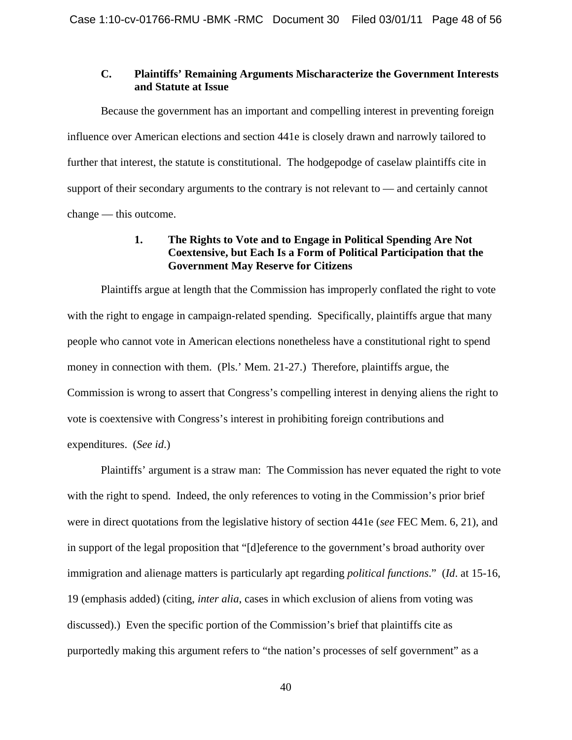### **C. Plaintiffs' Remaining Arguments Mischaracterize the Government Interests and Statute at Issue**

Because the government has an important and compelling interest in preventing foreign influence over American elections and section 441e is closely drawn and narrowly tailored to further that interest, the statute is constitutional. The hodgepodge of caselaw plaintiffs cite in support of their secondary arguments to the contrary is not relevant to — and certainly cannot change — this outcome.

# **1. The Rights to Vote and to Engage in Political Spending Are Not Coextensive, but Each Is a Form of Political Participation that the Government May Reserve for Citizens**

Plaintiffs argue at length that the Commission has improperly conflated the right to vote with the right to engage in campaign-related spending. Specifically, plaintiffs argue that many people who cannot vote in American elections nonetheless have a constitutional right to spend money in connection with them. (Pls.' Mem. 21-27.) Therefore, plaintiffs argue, the Commission is wrong to assert that Congress's compelling interest in denying aliens the right to vote is coextensive with Congress's interest in prohibiting foreign contributions and expenditures. (*See id*.)

Plaintiffs' argument is a straw man: The Commission has never equated the right to vote with the right to spend. Indeed, the only references to voting in the Commission's prior brief were in direct quotations from the legislative history of section 441e (*see* FEC Mem. 6, 21), and in support of the legal proposition that "[d]eference to the government's broad authority over immigration and alienage matters is particularly apt regarding *political functions*." (*Id*. at 15-16, 19 (emphasis added) (citing, *inter alia*, cases in which exclusion of aliens from voting was discussed).) Even the specific portion of the Commission's brief that plaintiffs cite as purportedly making this argument refers to "the nation's processes of self government" as a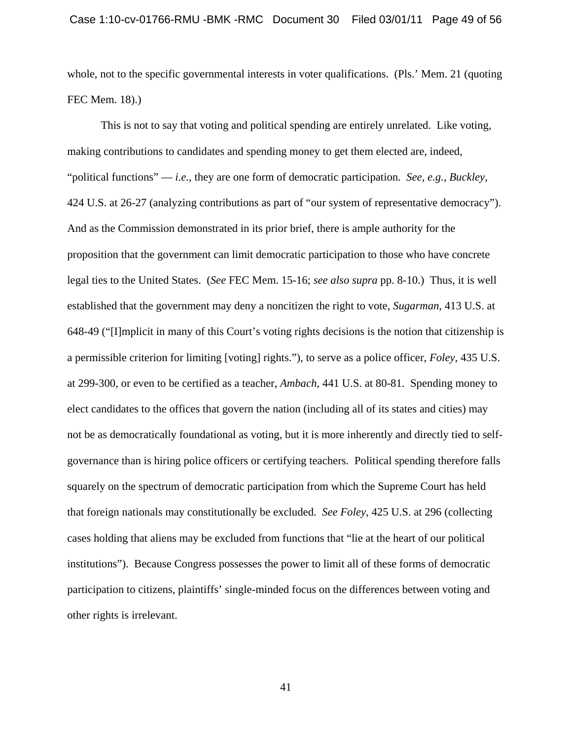whole, not to the specific governmental interests in voter qualifications. (Pls.' Mem. 21 (quoting FEC Mem. 18).)

This is not to say that voting and political spending are entirely unrelated. Like voting, making contributions to candidates and spending money to get them elected are, indeed, "political functions" — *i.e.*, they are one form of democratic participation. *See*, *e.g.*, *Buckley*, 424 U.S. at 26-27 (analyzing contributions as part of "our system of representative democracy"). And as the Commission demonstrated in its prior brief, there is ample authority for the proposition that the government can limit democratic participation to those who have concrete legal ties to the United States. (*See* FEC Mem. 15-16; *see also supra* pp. 8-10.) Thus, it is well established that the government may deny a noncitizen the right to vote, *Sugarman*, 413 U.S. at 648-49 ("[I]mplicit in many of this Court's voting rights decisions is the notion that citizenship is a permissible criterion for limiting [voting] rights."), to serve as a police officer, *Foley*, 435 U.S. at 299-300, or even to be certified as a teacher, *Ambach*, 441 U.S. at 80-81. Spending money to elect candidates to the offices that govern the nation (including all of its states and cities) may not be as democratically foundational as voting, but it is more inherently and directly tied to selfgovernance than is hiring police officers or certifying teachers. Political spending therefore falls squarely on the spectrum of democratic participation from which the Supreme Court has held that foreign nationals may constitutionally be excluded. *See Foley*, 425 U.S. at 296 (collecting cases holding that aliens may be excluded from functions that "lie at the heart of our political institutions"). Because Congress possesses the power to limit all of these forms of democratic participation to citizens, plaintiffs' single-minded focus on the differences between voting and other rights is irrelevant.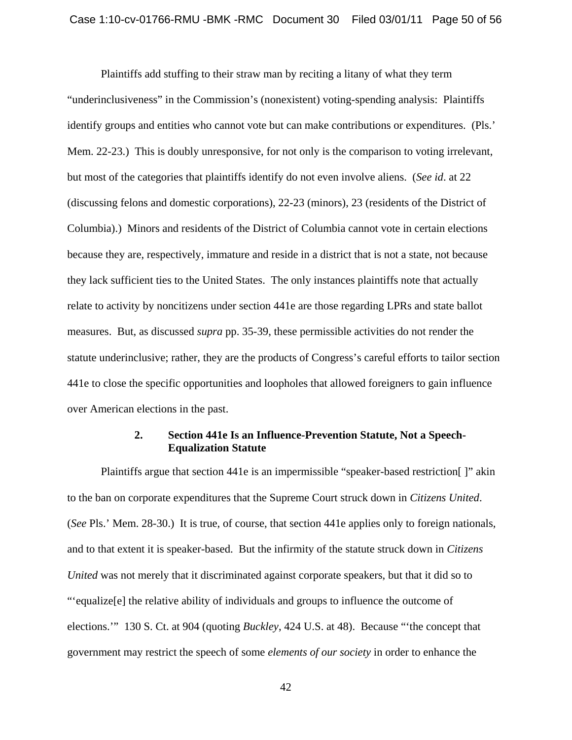Plaintiffs add stuffing to their straw man by reciting a litany of what they term "underinclusiveness" in the Commission's (nonexistent) voting-spending analysis: Plaintiffs identify groups and entities who cannot vote but can make contributions or expenditures. (Pls.' Mem. 22-23.) This is doubly unresponsive, for not only is the comparison to voting irrelevant, but most of the categories that plaintiffs identify do not even involve aliens. (*See id*. at 22 (discussing felons and domestic corporations), 22-23 (minors), 23 (residents of the District of Columbia).) Minors and residents of the District of Columbia cannot vote in certain elections because they are, respectively, immature and reside in a district that is not a state, not because they lack sufficient ties to the United States. The only instances plaintiffs note that actually relate to activity by noncitizens under section 441e are those regarding LPRs and state ballot measures. But, as discussed *supra* pp. 35-39, these permissible activities do not render the statute underinclusive; rather, they are the products of Congress's careful efforts to tailor section 441e to close the specific opportunities and loopholes that allowed foreigners to gain influence over American elections in the past.

#### **2. Section 441e Is an Influence-Prevention Statute, Not a Speech-Equalization Statute**

Plaintiffs argue that section 441e is an impermissible "speaker-based restriction[ ]" akin to the ban on corporate expenditures that the Supreme Court struck down in *Citizens United*. (*See* Pls.' Mem. 28-30.) It is true, of course, that section 441e applies only to foreign nationals, and to that extent it is speaker-based. But the infirmity of the statute struck down in *Citizens United* was not merely that it discriminated against corporate speakers, but that it did so to "'equalize[e] the relative ability of individuals and groups to influence the outcome of elections.'" 130 S. Ct. at 904 (quoting *Buckley*, 424 U.S. at 48). Because "'the concept that government may restrict the speech of some *elements of our society* in order to enhance the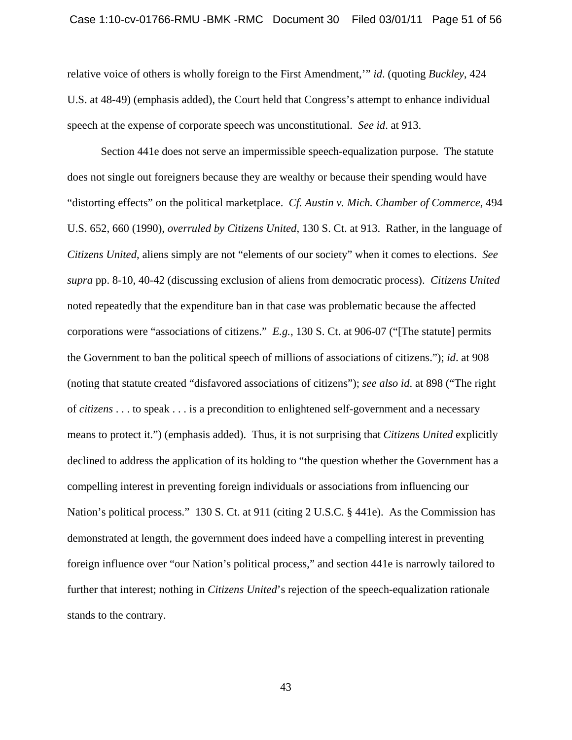relative voice of others is wholly foreign to the First Amendment,'" *id*. (quoting *Buckley*, 424 U.S. at 48-49) (emphasis added), the Court held that Congress's attempt to enhance individual speech at the expense of corporate speech was unconstitutional. *See id*. at 913.

Section 441e does not serve an impermissible speech-equalization purpose. The statute does not single out foreigners because they are wealthy or because their spending would have "distorting effects" on the political marketplace. *Cf. Austin v. Mich. Chamber of Commerce*, 494 U.S. 652, 660 (1990), *overruled by Citizens United*, 130 S. Ct. at 913. Rather, in the language of *Citizens United*, aliens simply are not "elements of our society" when it comes to elections. *See supra* pp. 8-10, 40-42 (discussing exclusion of aliens from democratic process). *Citizens United* noted repeatedly that the expenditure ban in that case was problematic because the affected corporations were "associations of citizens." *E.g.*, 130 S. Ct. at 906-07 ("[The statute] permits the Government to ban the political speech of millions of associations of citizens."); *id*. at 908 (noting that statute created "disfavored associations of citizens"); *see also id*. at 898 ("The right of *citizens* . . . to speak . . . is a precondition to enlightened self-government and a necessary means to protect it.") (emphasis added). Thus, it is not surprising that *Citizens United* explicitly declined to address the application of its holding to "the question whether the Government has a compelling interest in preventing foreign individuals or associations from influencing our Nation's political process." 130 S. Ct. at 911 (citing 2 U.S.C. § 441e). As the Commission has demonstrated at length, the government does indeed have a compelling interest in preventing foreign influence over "our Nation's political process," and section 441e is narrowly tailored to further that interest; nothing in *Citizens United*'s rejection of the speech-equalization rationale stands to the contrary.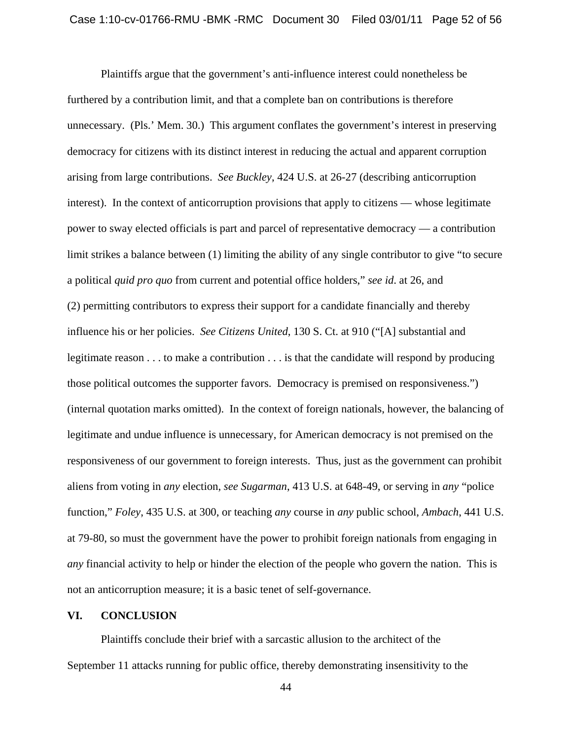Plaintiffs argue that the government's anti-influence interest could nonetheless be furthered by a contribution limit, and that a complete ban on contributions is therefore unnecessary. (Pls.' Mem. 30.) This argument conflates the government's interest in preserving democracy for citizens with its distinct interest in reducing the actual and apparent corruption arising from large contributions. *See Buckley*, 424 U.S. at 26-27 (describing anticorruption interest). In the context of anticorruption provisions that apply to citizens — whose legitimate power to sway elected officials is part and parcel of representative democracy — a contribution limit strikes a balance between (1) limiting the ability of any single contributor to give "to secure a political *quid pro quo* from current and potential office holders," *see id*. at 26, and (2) permitting contributors to express their support for a candidate financially and thereby influence his or her policies. *See Citizens United*, 130 S. Ct. at 910 ("[A] substantial and legitimate reason . . . to make a contribution . . . is that the candidate will respond by producing those political outcomes the supporter favors. Democracy is premised on responsiveness.") (internal quotation marks omitted). In the context of foreign nationals, however, the balancing of legitimate and undue influence is unnecessary, for American democracy is not premised on the responsiveness of our government to foreign interests. Thus, just as the government can prohibit aliens from voting in *any* election, *see Sugarman*, 413 U.S. at 648-49, or serving in *any* "police function," *Foley*, 435 U.S. at 300, or teaching *any* course in *any* public school, *Ambach*, 441 U.S. at 79-80, so must the government have the power to prohibit foreign nationals from engaging in *any* financial activity to help or hinder the election of the people who govern the nation. This is not an anticorruption measure; it is a basic tenet of self-governance.

#### **VI. CONCLUSION**

Plaintiffs conclude their brief with a sarcastic allusion to the architect of the September 11 attacks running for public office, thereby demonstrating insensitivity to the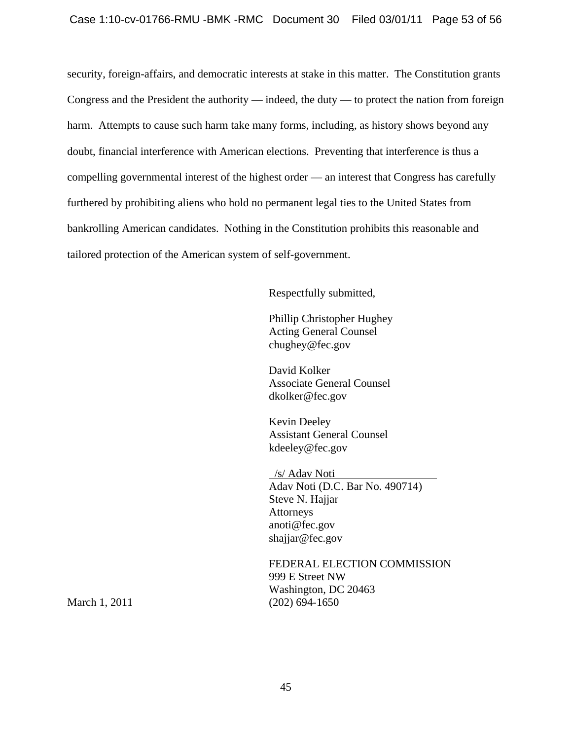security, foreign-affairs, and democratic interests at stake in this matter. The Constitution grants Congress and the President the authority — indeed, the duty — to protect the nation from foreign harm. Attempts to cause such harm take many forms, including, as history shows beyond any doubt, financial interference with American elections. Preventing that interference is thus a compelling governmental interest of the highest order — an interest that Congress has carefully furthered by prohibiting aliens who hold no permanent legal ties to the United States from bankrolling American candidates. Nothing in the Constitution prohibits this reasonable and tailored protection of the American system of self-government.

Respectfully submitted,

Phillip Christopher Hughey Acting General Counsel chughey@fec.gov

David Kolker Associate General Counsel dkolker@fec.gov

Kevin Deeley Assistant General Counsel kdeeley@fec.gov

 /s/ Adav Noti Adav Noti (D.C. Bar No. 490714) Steve N. Hajjar Attorneys anoti@fec.gov shajjar@fec.gov

FEDERAL ELECTION COMMISSION 999 E Street NW Washington, DC 20463 March 1, 2011 (202) 694-1650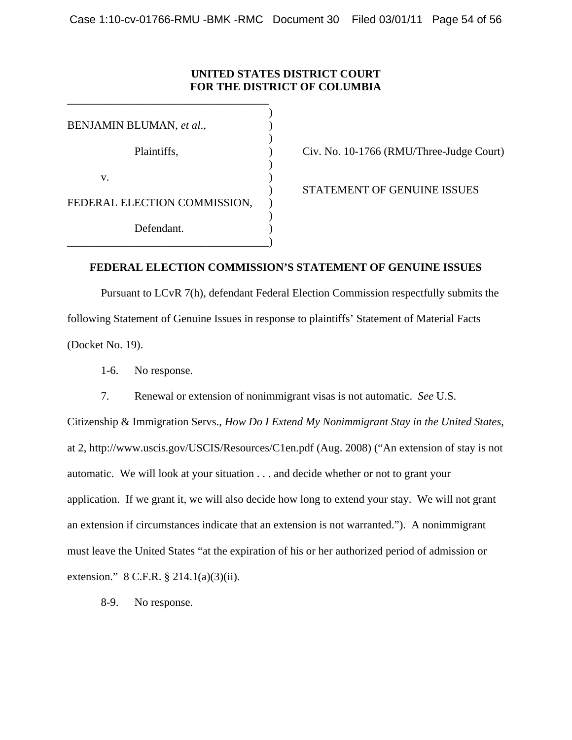# **UNITED STATES DISTRICT COURT FOR THE DISTRICT OF COLUMBIA**

 $)$ BENJAMIN BLUMAN, *et al*., )  $\overline{\phantom{a}}$  $)$ v. (1) FEDERAL ELECTION COMMISSION, ) Defendant. \_\_\_\_\_\_\_\_\_\_\_\_\_\_\_\_\_\_\_\_\_\_\_\_\_\_\_\_\_\_\_\_\_\_\_\_)

\_\_\_\_\_\_\_\_\_\_\_\_\_\_\_\_\_\_\_\_\_\_\_\_\_\_\_\_\_\_\_\_\_\_\_\_

Plaintiffs,  $Civ. No. 10-1766 (RMU/Three-Judge Court)$ 

) STATEMENT OF GENUINE ISSUES

### **FEDERAL ELECTION COMMISSION'S STATEMENT OF GENUINE ISSUES**

 Pursuant to LCvR 7(h), defendant Federal Election Commission respectfully submits the following Statement of Genuine Issues in response to plaintiffs' Statement of Material Facts (Docket No. 19).

1-6. No response.

7. Renewal or extension of nonimmigrant visas is not automatic. *See* U.S.

Citizenship & Immigration Servs., *How Do I Extend My Nonimmigrant Stay in the United States*, at 2, http://www.uscis.gov/USCIS/Resources/C1en.pdf (Aug. 2008) ("An extension of stay is not automatic. We will look at your situation . . . and decide whether or not to grant your application. If we grant it, we will also decide how long to extend your stay. We will not grant an extension if circumstances indicate that an extension is not warranted."). A nonimmigrant must leave the United States "at the expiration of his or her authorized period of admission or extension." 8 C.F.R. § 214.1(a)(3)(ii).

8-9. No response.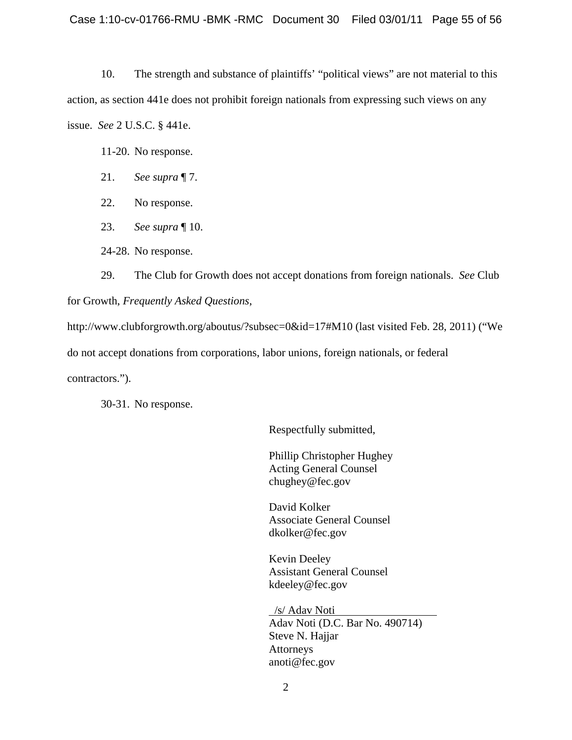10. The strength and substance of plaintiffs' "political views" are not material to this action, as section 441e does not prohibit foreign nationals from expressing such views on any issue. *See* 2 U.S.C. § 441e.

11-20. No response.

- 21. *See supra* ¶ 7.
- 22. No response.
- 23. *See supra* ¶ 10.

24-28. No response.

29. The Club for Growth does not accept donations from foreign nationals. *See* Club for Growth, *Frequently Asked Questions*,

http://www.clubforgrowth.org/aboutus/?subsec=0&id=17#M10 (last visited Feb. 28, 2011) ("We do not accept donations from corporations, labor unions, foreign nationals, or federal contractors.").

30-31. No response.

Respectfully submitted,

Phillip Christopher Hughey Acting General Counsel chughey@fec.gov

David Kolker Associate General Counsel dkolker@fec.gov

Kevin Deeley Assistant General Counsel kdeeley@fec.gov

 /s/ Adav Noti Adav Noti (D.C. Bar No. 490714) Steve N. Hajjar Attorneys anoti@fec.gov